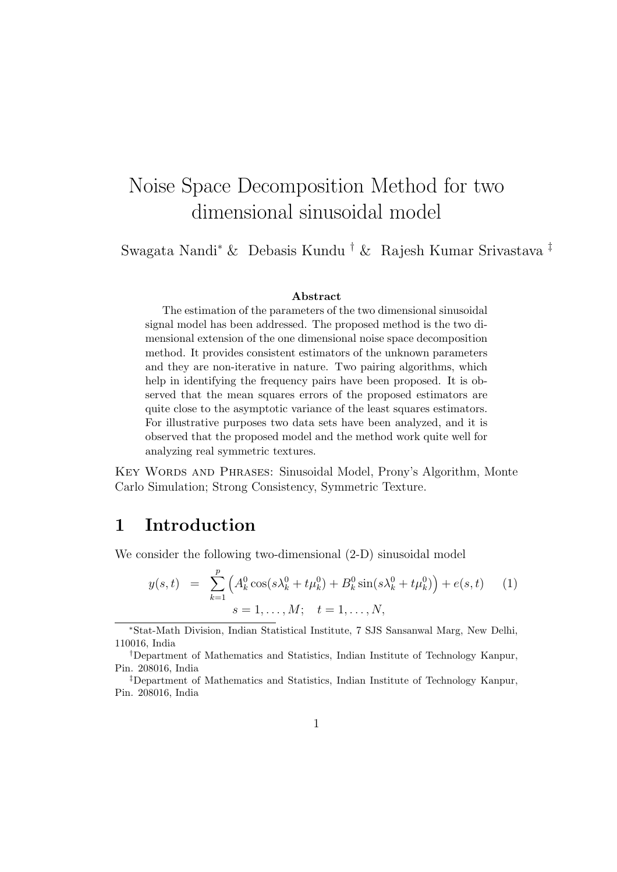# Noise Space Decomposition Method for two dimensional sinusoidal model

Swagata Nandi<sup>∗</sup> & Debasis Kundu † & Rajesh Kumar Srivastava ‡

#### Abstract

The estimation of the parameters of the two dimensional sinusoidal signal model has been addressed. The proposed method is the two dimensional extension of the one dimensional noise space decomposition method. It provides consistent estimators of the unknown parameters and they are non-iterative in nature. Two pairing algorithms, which help in identifying the frequency pairs have been proposed. It is observed that the mean squares errors of the proposed estimators are quite close to the asymptotic variance of the least squares estimators. For illustrative purposes two data sets have been analyzed, and it is observed that the proposed model and the method work quite well for analyzing real symmetric textures.

Key Words and Phrases: Sinusoidal Model, Prony's Algorithm, Monte Carlo Simulation; Strong Consistency, Symmetric Texture.

# 1 Introduction

We consider the following two-dimensional  $(2-D)$  sinusoidal model

$$
y(s,t) = \sum_{k=1}^{p} \left( A_k^0 \cos(s\lambda_k^0 + t\mu_k^0) + B_k^0 \sin(s\lambda_k^0 + t\mu_k^0) \right) + e(s,t) \tag{1}
$$
  

$$
s = 1, \dots, M; \quad t = 1, \dots, N,
$$

<sup>∗</sup>Stat-Math Division, Indian Statistical Institute, 7 SJS Sansanwal Marg, New Delhi, 110016, India

<sup>†</sup>Department of Mathematics and Statistics, Indian Institute of Technology Kanpur, Pin. 208016, India

<sup>‡</sup>Department of Mathematics and Statistics, Indian Institute of Technology Kanpur, Pin. 208016, India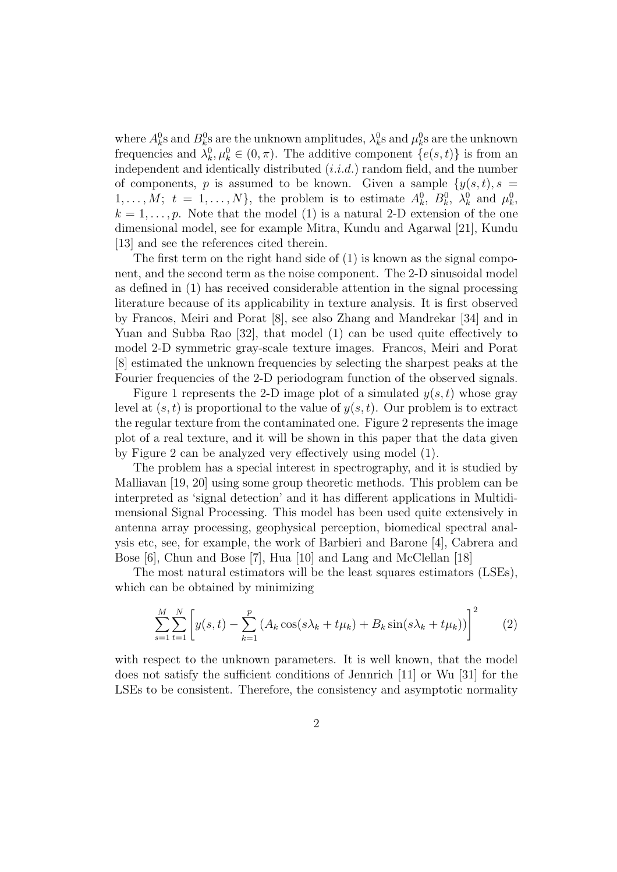where  $A_k^0$ s and  $B_k^0$ s are the unknown amplitudes,  $\lambda_k^0$ s and  $\mu_k^0$ s are the unknown frequencies and  $\lambda_k^0, \mu_k^0 \in (0, \pi)$ . The additive component  $\{e(s, t)\}\$ is from an independent and identically distributed  $(i.i.d.)$  random field, and the number of components, p is assumed to be known. Given a sample  $\{y(s,t), s =$  $1, \ldots, M; t = 1, \ldots, N$ , the problem is to estimate  $A_k^0$ ,  $B_k^0$ ,  $\lambda_k^0$  and  $\mu_k^0$ ,  $k = 1, \ldots, p$ . Note that the model (1) is a natural 2-D extension of the one dimensional model, see for example Mitra, Kundu and Agarwal [21], Kundu [13] and see the references cited therein.

The first term on the right hand side of (1) is known as the signal component, and the second term as the noise component. The 2-D sinusoidal model as defined in (1) has received considerable attention in the signal processing literature because of its applicability in texture analysis. It is first observed by Francos, Meiri and Porat [8], see also Zhang and Mandrekar [34] and in Yuan and Subba Rao [32], that model (1) can be used quite effectively to model 2-D symmetric gray-scale texture images. Francos, Meiri and Porat [8] estimated the unknown frequencies by selecting the sharpest peaks at the Fourier frequencies of the 2-D periodogram function of the observed signals.

Figure 1 represents the 2-D image plot of a simulated  $y(s, t)$  whose gray level at  $(s, t)$  is proportional to the value of  $y(s, t)$ . Our problem is to extract the regular texture from the contaminated one. Figure 2 represents the image plot of a real texture, and it will be shown in this paper that the data given by Figure 2 can be analyzed very effectively using model (1).

The problem has a special interest in spectrography, and it is studied by Malliavan [19, 20] using some group theoretic methods. This problem can be interpreted as 'signal detection' and it has different applications in Multidimensional Signal Processing. This model has been used quite extensively in antenna array processing, geophysical perception, biomedical spectral analysis etc, see, for example, the work of Barbieri and Barone [4], Cabrera and Bose [6], Chun and Bose [7], Hua [10] and Lang and McClellan [18]

The most natural estimators will be the least squares estimators (LSEs), which can be obtained by minimizing

$$
\sum_{s=1}^{M} \sum_{t=1}^{N} \left[ y(s, t) - \sum_{k=1}^{p} \left( A_k \cos(s\lambda_k + t\mu_k) + B_k \sin(s\lambda_k + t\mu_k) \right) \right]^2 \tag{2}
$$

with respect to the unknown parameters. It is well known, that the model does not satisfy the sufficient conditions of Jennrich [11] or Wu [31] for the LSEs to be consistent. Therefore, the consistency and asymptotic normality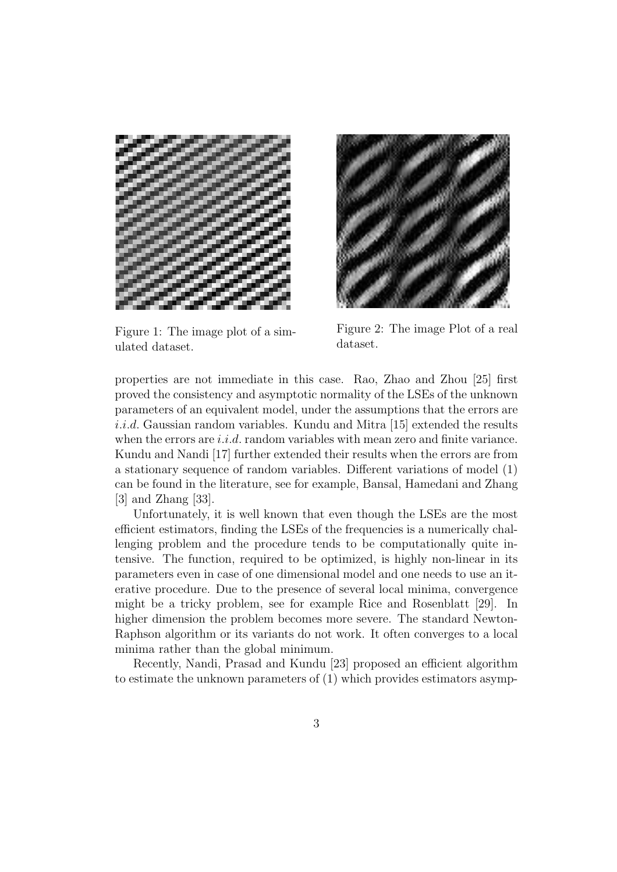

Figure 1: The image plot of a simulated dataset.



Figure 2: The image Plot of a real dataset.

properties are not immediate in this case. Rao, Zhao and Zhou [25] first proved the consistency and asymptotic normality of the LSEs of the unknown parameters of an equivalent model, under the assumptions that the errors are  $i.i.d.$  Gaussian random variables. Kundu and Mitra [15] extended the results when the errors are  $i.i.d.$  random variables with mean zero and finite variance. Kundu and Nandi [17] further extended their results when the errors are from a stationary sequence of random variables. Different variations of model (1) can be found in the literature, see for example, Bansal, Hamedani and Zhang [3] and Zhang [33].

Unfortunately, it is well known that even though the LSEs are the most efficient estimators, finding the LSEs of the frequencies is a numerically challenging problem and the procedure tends to be computationally quite intensive. The function, required to be optimized, is highly non-linear in its parameters even in case of one dimensional model and one needs to use an iterative procedure. Due to the presence of several local minima, convergence might be a tricky problem, see for example Rice and Rosenblatt [29]. In higher dimension the problem becomes more severe. The standard Newton-Raphson algorithm or its variants do not work. It often converges to a local minima rather than the global minimum.

Recently, Nandi, Prasad and Kundu [23] proposed an efficient algorithm to estimate the unknown parameters of (1) which provides estimators asymp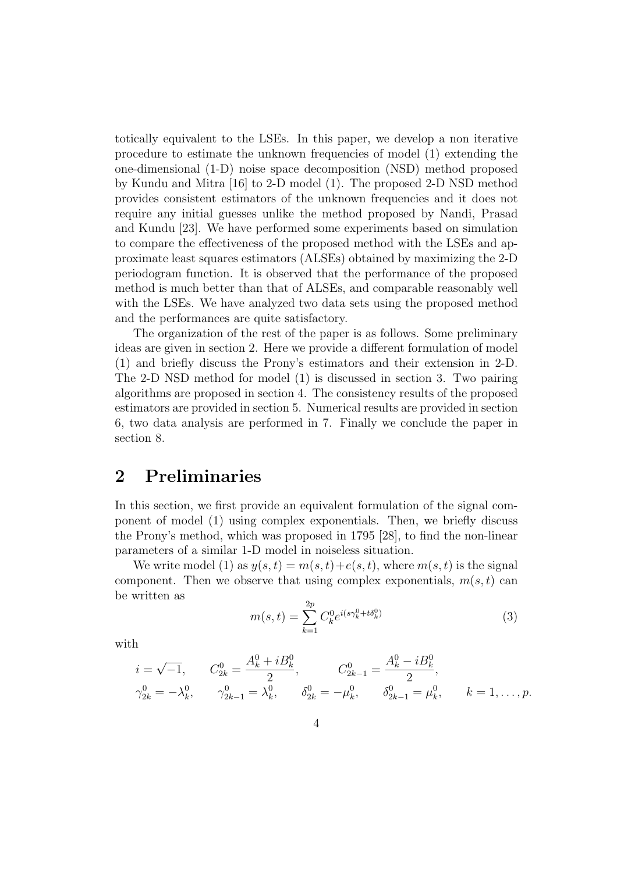totically equivalent to the LSEs. In this paper, we develop a non iterative procedure to estimate the unknown frequencies of model (1) extending the one-dimensional (1-D) noise space decomposition (NSD) method proposed by Kundu and Mitra [16] to 2-D model (1). The proposed 2-D NSD method provides consistent estimators of the unknown frequencies and it does not require any initial guesses unlike the method proposed by Nandi, Prasad and Kundu [23]. We have performed some experiments based on simulation to compare the effectiveness of the proposed method with the LSEs and approximate least squares estimators (ALSEs) obtained by maximizing the 2-D periodogram function. It is observed that the performance of the proposed method is much better than that of ALSEs, and comparable reasonably well with the LSEs. We have analyzed two data sets using the proposed method and the performances are quite satisfactory.

The organization of the rest of the paper is as follows. Some preliminary ideas are given in section 2. Here we provide a different formulation of model (1) and briefly discuss the Prony's estimators and their extension in 2-D. The 2-D NSD method for model (1) is discussed in section 3. Two pairing algorithms are proposed in section 4. The consistency results of the proposed estimators are provided in section 5. Numerical results are provided in section 6, two data analysis are performed in 7. Finally we conclude the paper in section 8.

# 2 Preliminaries

In this section, we first provide an equivalent formulation of the signal component of model (1) using complex exponentials. Then, we briefly discuss the Prony's method, which was proposed in 1795 [28], to find the non-linear parameters of a similar 1-D model in noiseless situation.

We write model (1) as  $y(s,t) = m(s,t) + e(s,t)$ , where  $m(s,t)$  is the signal component. Then we observe that using complex exponentials,  $m(s, t)$  can be written as

$$
m(s,t) = \sum_{k=1}^{2p} C_k^0 e^{i(s\gamma_k^0 + t\delta_k^0)}
$$
(3)

with

$$
\begin{aligned}\ni &= \sqrt{-1}, & C_{2k}^0 &= \frac{A_k^0 + iB_k^0}{2}, & C_{2k-1}^0 &= \frac{A_k^0 - iB_k^0}{2}, \\
\gamma_{2k}^0 &= -\lambda_k^0, & \gamma_{2k-1}^0 &= \lambda_k^0, & \delta_{2k}^0 &= -\mu_k^0, & \delta_{2k-1}^0 &= \mu_k^0, & k &= 1, \dots, p.\n\end{aligned}
$$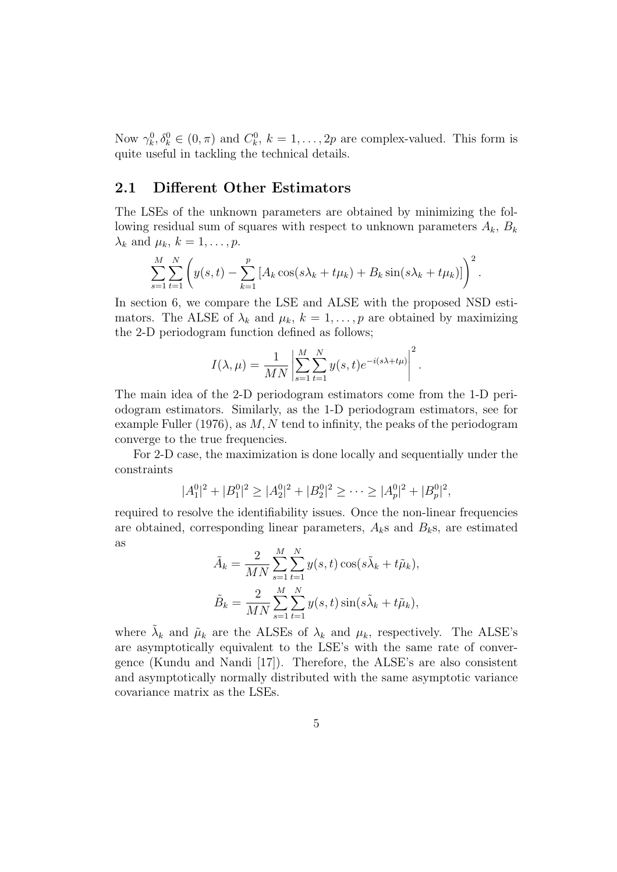Now  $\gamma_k^0, \delta_k^0 \in (0, \pi)$  and  $C_k^0, k = 1, \ldots, 2p$  are complex-valued. This form is quite useful in tackling the technical details.

#### 2.1 Different Other Estimators

The LSEs of the unknown parameters are obtained by minimizing the following residual sum of squares with respect to unknown parameters  $A_k$ ,  $B_k$  $\lambda_k$  and  $\mu_k$ ,  $k = 1, \ldots, p$ .

$$
\sum_{s=1}^{M} \sum_{t=1}^{N} \left( y(s, t) - \sum_{k=1}^{p} \left[ A_k \cos(s\lambda_k + t\mu_k) + B_k \sin(s\lambda_k + t\mu_k) \right] \right)^2.
$$

In section 6, we compare the LSE and ALSE with the proposed NSD estimators. The ALSE of  $\lambda_k$  and  $\mu_k$ ,  $k = 1, \ldots, p$  are obtained by maximizing the 2-D periodogram function defined as follows;

$$
I(\lambda, \mu) = \frac{1}{MN} \left| \sum_{s=1}^{M} \sum_{t=1}^{N} y(s, t) e^{-i(s\lambda + t\mu)} \right|^2.
$$

The main idea of the 2-D periodogram estimators come from the 1-D periodogram estimators. Similarly, as the 1-D periodogram estimators, see for example Fuller (1976), as  $M, N$  tend to infinity, the peaks of the periodogram converge to the true frequencies.

For 2-D case, the maximization is done locally and sequentially under the constraints

$$
|A_1^0|^2 + |B_1^0|^2 \ge |A_2^0|^2 + |B_2^0|^2 \ge \cdots \ge |A_p^0|^2 + |B_p^0|^2,
$$

required to resolve the identifiability issues. Once the non-linear frequencies are obtained, corresponding linear parameters,  $A_k$ s and  $B_k$ s, are estimated as

$$
\tilde{A}_k = \frac{2}{MN} \sum_{s=1}^M \sum_{t=1}^N y(s, t) \cos(s\tilde{\lambda}_k + t\tilde{\mu}_k),
$$
  

$$
\tilde{B}_k = \frac{2}{MN} \sum_{s=1}^M \sum_{t=1}^N y(s, t) \sin(s\tilde{\lambda}_k + t\tilde{\mu}_k),
$$

where  $\tilde{\lambda}_k$  and  $\tilde{\mu}_k$  are the ALSEs of  $\lambda_k$  and  $\mu_k$ , respectively. The ALSE's are asymptotically equivalent to the LSE's with the same rate of convergence (Kundu and Nandi [17]). Therefore, the ALSE's are also consistent and asymptotically normally distributed with the same asymptotic variance covariance matrix as the LSEs.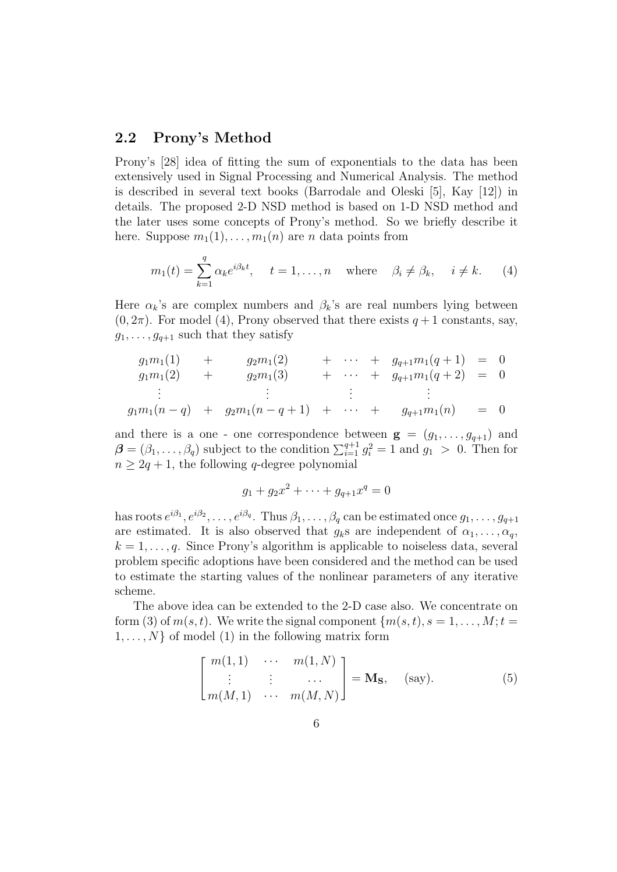#### 2.2 Prony's Method

Prony's [28] idea of fitting the sum of exponentials to the data has been extensively used in Signal Processing and Numerical Analysis. The method is described in several text books (Barrodale and Oleski [5], Kay [12]) in details. The proposed 2-D NSD method is based on 1-D NSD method and the later uses some concepts of Prony's method. So we briefly describe it here. Suppose  $m_1(1), \ldots, m_1(n)$  are n data points from

$$
m_1(t) = \sum_{k=1}^q \alpha_k e^{i\beta_k t}, \quad t = 1, \dots, n \quad \text{where} \quad \beta_i \neq \beta_k, \quad i \neq k. \tag{4}
$$

Here  $\alpha_k$ 's are complex numbers and  $\beta_k$ 's are real numbers lying between  $(0, 2\pi)$ . For model (4), Prony observed that there exists  $q+1$  constants, say,  $g_1, \ldots, g_{q+1}$  such that they satisfy

$$
g_1m_1(1) + g_2m_1(2) + \cdots + g_{q+1}m_1(q+1) = 0
$$
  
\n
$$
g_1m_1(2) + g_2m_1(3) + \cdots + g_{q+1}m_1(q+2) = 0
$$
  
\n
$$
\vdots \qquad \vdots
$$
  
\n
$$
g_1m_1(n-q) + g_2m_1(n-q+1) + \cdots + g_{q+1}m_1(n) = 0
$$

and there is a one - one correspondence between  $g = (g_1, \ldots, g_{q+1})$  and  $\boldsymbol{\beta} = (\beta_1, \dots, \beta_q)$  subject to the condition  $\sum_{i=1}^{q+1} g_i^2 = 1$  and  $g_1 > 0$ . Then for  $n \geq 2q + 1$ , the following q-degree polynomial

$$
g_1 + g_2 x^2 + \dots + g_{q+1} x^q = 0
$$

has roots  $e^{i\beta_1}, e^{i\beta_2}, \ldots, e^{i\beta_q}$ . Thus  $\beta_1, \ldots, \beta_q$  can be estimated once  $g_1, \ldots, g_{q+1}$ are estimated. It is also observed that  $g_k$ s are independent of  $\alpha_1, \ldots, \alpha_q$ ,  $k = 1, \ldots, q$ . Since Prony's algorithm is applicable to noiseless data, several problem specific adoptions have been considered and the method can be used to estimate the starting values of the nonlinear parameters of any iterative scheme.

The above idea can be extended to the 2-D case also. We concentrate on form (3) of  $m(s, t)$ . We write the signal component  $\{m(s, t), s = 1, \ldots, M; t =$  $1, \ldots, N$  of model (1) in the following matrix form

$$
\begin{bmatrix} m(1,1) & \cdots & m(1,N) \\ \vdots & \vdots & \cdots \\ m(M,1) & \cdots & m(M,N) \end{bmatrix} = \mathbf{M}_\mathbf{S}, \quad \text{(say)}.
$$
 (5)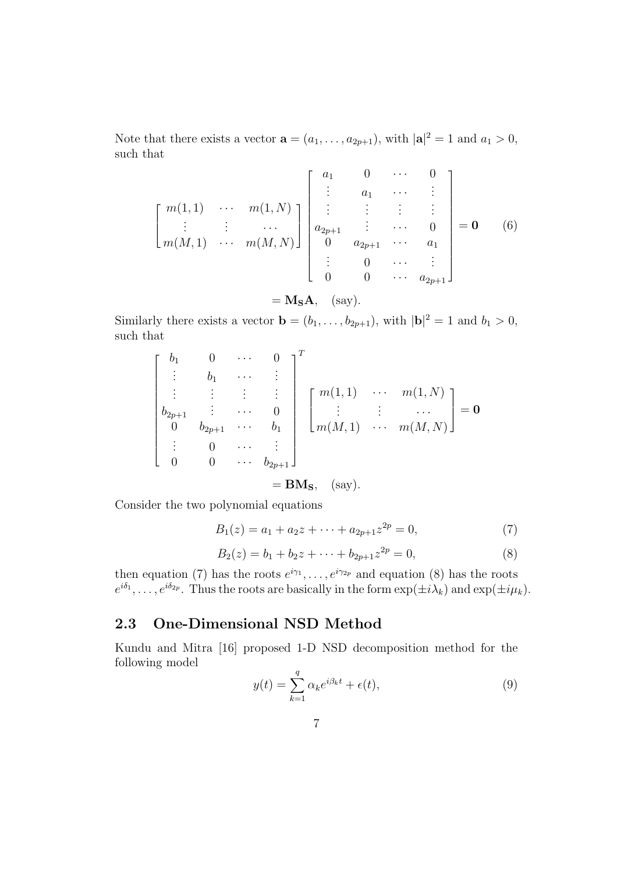Note that there exists a vector  $\mathbf{a} = (a_1, \dots, a_{2p+1}),$  with  $|\mathbf{a}|^2 = 1$  and  $a_1 > 0$ , such that

$$
\begin{bmatrix}\nm(1,1) & \cdots & m(1,N) \\
\vdots & \vdots & \cdots \\
m(M,1) & \cdots & m(M,N)\n\end{bmatrix}\n\begin{bmatrix}\na_1 & 0 & \cdots & 0 \\
\vdots & a_1 & \cdots & \vdots \\
a_{2p+1} & \vdots & \cdots & 0 \\
0 & a_{2p+1} & \cdots & a_1 \\
\vdots & 0 & \cdots & \vdots \\
0 & 0 & \cdots & a_{2p+1}\n\end{bmatrix} = \mathbf{0}
$$
\n(6)\n  
\n= M<sub>S</sub>**A**, (say).

Similarly there exists a vector  $\mathbf{b} = (b_1, \ldots, b_{2p+1})$ , with  $|\mathbf{b}|^2 = 1$  and  $b_1 > 0$ , such that

$$
\begin{bmatrix}\nb_1 & 0 & \cdots & 0 \\
\vdots & b_1 & \cdots & \vdots \\
\vdots & \vdots & \vdots & \vdots \\
b_{2p+1} & \vdots & \cdots & 0 \\
0 & b_{2p+1} & \cdots & b_1 \\
\vdots & 0 & \cdots & \vdots \\
0 & 0 & \cdots & b_{2p+1}\n\end{bmatrix}\n\begin{bmatrix}\nm(1,1) & \cdots & m(1,N) \\
\vdots & \vdots & \cdots & \vdots \\
m(M,1) & \cdots & m(M,N)\n\end{bmatrix} = \mathbf{0}
$$
\n
$$
= \mathbf{BM}_{\mathbf{S}}, \quad \text{(say)}.
$$

Consider the two polynomial equations

$$
B_1(z) = a_1 + a_2 z + \dots + a_{2p+1} z^{2p} = 0,
$$
\n<sup>(7)</sup>

$$
B_2(z) = b_1 + b_2 z + \dots + b_{2p+1} z^{2p} = 0,
$$
\n(8)

then equation (7) has the roots  $e^{i\gamma_1}, \ldots, e^{i\gamma_{2p}}$  and equation (8) has the roots  $e^{i\delta_1}, \ldots, e^{i\delta_{2p}}$ . Thus the roots are basically in the form  $\exp(\pm i\lambda_k)$  and  $\exp(\pm i\mu_k)$ .

#### 2.3 One-Dimensional NSD Method

Kundu and Mitra [16] proposed 1-D NSD decomposition method for the following model

$$
y(t) = \sum_{k=1}^{q} \alpha_k e^{i\beta_k t} + \epsilon(t),
$$
\n(9)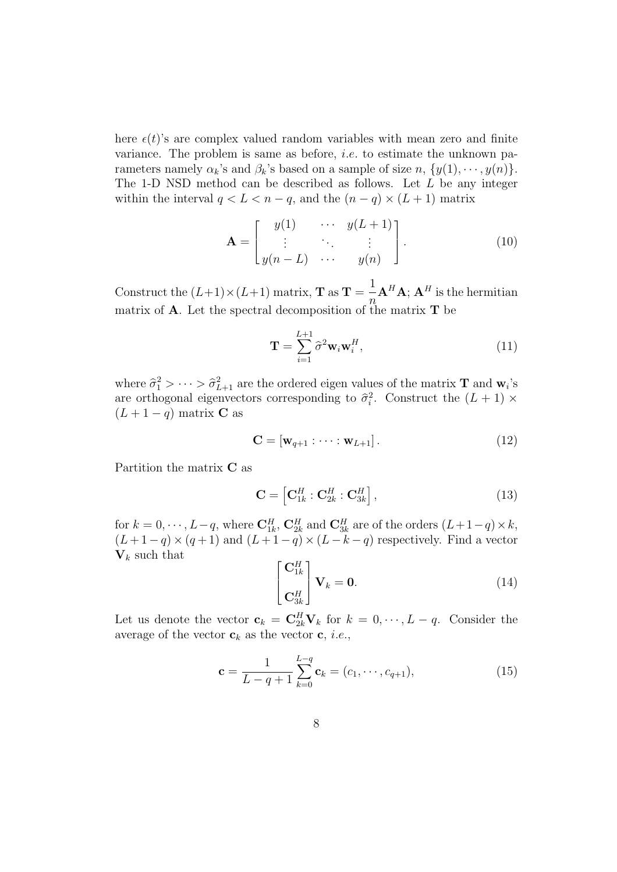here  $\epsilon(t)$ 's are complex valued random variables with mean zero and finite variance. The problem is same as before, *i.e.* to estimate the unknown parameters namely  $\alpha_k$ 's and  $\beta_k$ 's based on a sample of size  $n, \{y(1), \dots, y(n)\}.$ The 1-D NSD method can be described as follows. Let  $L$  be any integer within the interval  $q < L < n - q$ , and the  $(n - q) \times (L + 1)$  matrix

$$
\mathbf{A} = \begin{bmatrix} y(1) & \cdots & y(L+1) \\ \vdots & \ddots & \vdots \\ y(n-L) & \cdots & y(n) \end{bmatrix} . \tag{10}
$$

Construct the  $(L+1) \times (L+1)$  matrix, **T** as  $\mathbf{T} = \frac{1}{n}$  $\eta$  $\mathbf{A}^{H}\mathbf{A};\,\mathbf{A}^{H}$  is the hermitian matrix of **A**. Let the spectral decomposition of the matrix  $T$  be

$$
\mathbf{T} = \sum_{i=1}^{L+1} \hat{\sigma}^2 \mathbf{w}_i \mathbf{w}_i^H,
$$
\n(11)

where  $\hat{\sigma}_1^2 > \cdots > \hat{\sigma}_{L+1}^2$  are the ordered eigen values of the matrix **T** and  $\mathbf{w}_i$ 's are orthogonal eigenvectors corresponding to  $\hat{\sigma}_i^2$ . Construct the  $(L + 1) \times$  $(L+1-q)$  matrix **C** as

$$
\mathbf{C} = [\mathbf{w}_{q+1} : \cdots : \mathbf{w}_{L+1}]. \tag{12}
$$

Partition the matrix C as

$$
\mathbf{C} = \left[ \mathbf{C}_{1k}^{H} : \mathbf{C}_{2k}^{H} : \mathbf{C}_{3k}^{H} \right],
$$
\n(13)

for  $k = 0, \dots, L-q$ , where  $\mathbf{C}_{1k}^H$ ,  $\mathbf{C}_{2k}^H$  and  $\mathbf{C}_{3k}^H$  are of the orders  $(L+1-q) \times k$ ,  $(L+1-q) \times (q+1)$  and  $(L+1-q) \times (L-k-q)$  respectively. Find a vector  $V_k$  such that

$$
\begin{bmatrix} \mathbf{C}_{1k}^H \\ \mathbf{C}_{3k}^H \end{bmatrix} \mathbf{V}_k = \mathbf{0}.
$$
 (14)

Let us denote the vector  $\mathbf{c}_k = \mathbf{C}_{2k}^H \mathbf{V}_k$  for  $k = 0, \dots, L - q$ . Consider the average of the vector  $\mathbf{c}_k$  as the vector  $\mathbf{c}, i.e.,$ 

$$
\mathbf{c} = \frac{1}{L - q + 1} \sum_{k=0}^{L - q} \mathbf{c}_k = (c_1, \cdots, c_{q+1}),
$$
 (15)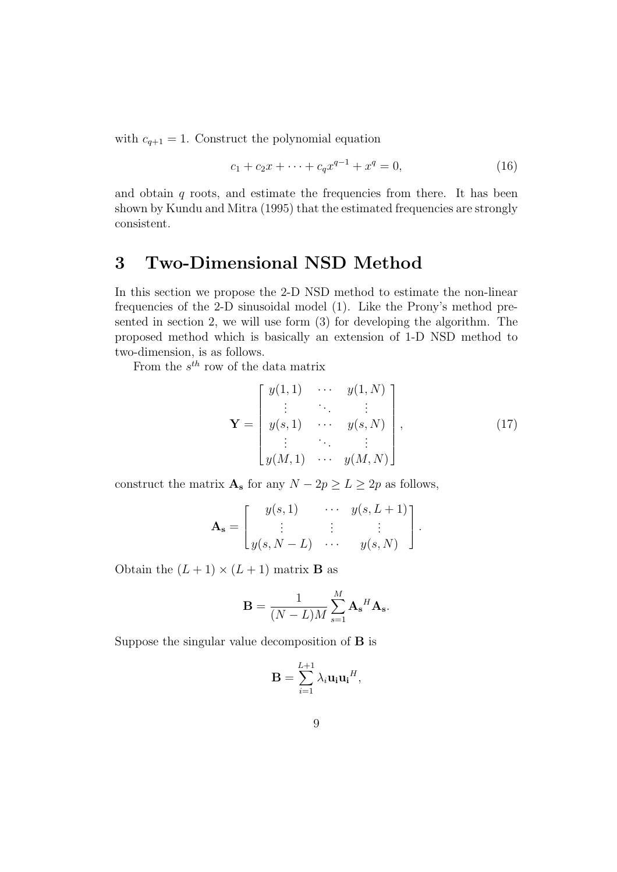with  $c_{q+1} = 1$ . Construct the polynomial equation

$$
c_1 + c_2 x + \dots + c_q x^{q-1} + x^q = 0,
$$
\n(16)

and obtain  $q$  roots, and estimate the frequencies from there. It has been shown by Kundu and Mitra (1995) that the estimated frequencies are strongly consistent.

# 3 Two-Dimensional NSD Method

In this section we propose the 2-D NSD method to estimate the non-linear frequencies of the 2-D sinusoidal model (1). Like the Prony's method presented in section 2, we will use form (3) for developing the algorithm. The proposed method which is basically an extension of 1-D NSD method to two-dimension, is as follows.

From the  $s^{th}$  row of the data matrix

$$
\mathbf{Y} = \begin{bmatrix} y(1,1) & \cdots & y(1,N) \\ \vdots & \ddots & \vdots \\ y(s,1) & \cdots & y(s,N) \\ \vdots & \ddots & \vdots \\ y(M,1) & \cdots & y(M,N) \end{bmatrix},
$$
(17)

construct the matrix  $\mathbf{A}_s$  for any  $N - 2p \geq L \geq 2p$  as follows,

$$
\mathbf{A_s} = \begin{bmatrix} y(s, 1) & \cdots & y(s, L+1) \\ \vdots & \vdots & \vdots \\ y(s, N-L) & \cdots & y(s, N) \end{bmatrix}.
$$

Obtain the  $(L + 1) \times (L + 1)$  matrix **B** as

$$
\mathbf{B} = \frac{1}{(N-L)M} \sum_{s=1}^{M} \mathbf{A_s}^H \mathbf{A_s}.
$$

Suppose the singular value decomposition of B is

$$
\mathbf{B} = \sum_{i=1}^{L+1} \lambda_i \mathbf{u_i} \mathbf{u_i}^H,
$$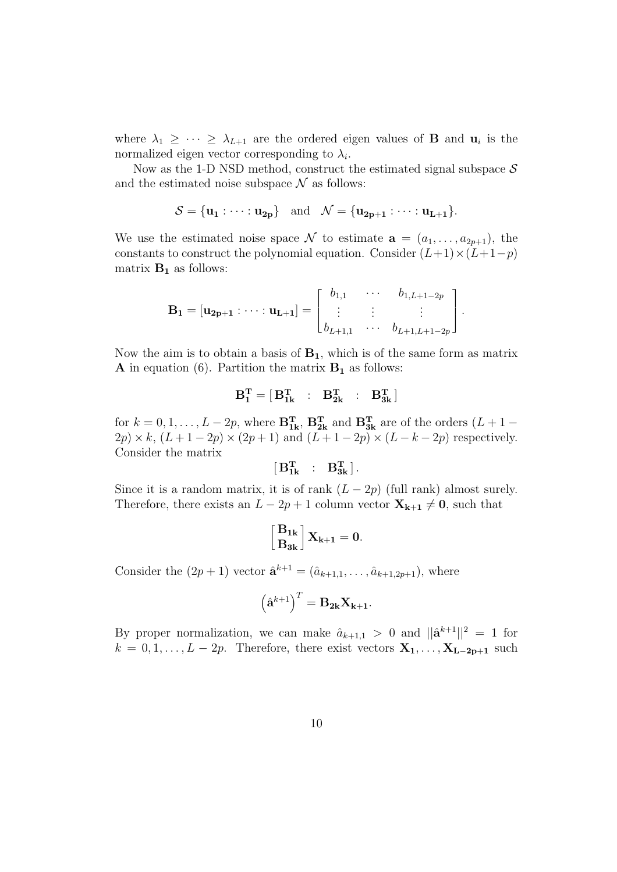where  $\lambda_1 \geq \cdots \geq \lambda_{L+1}$  are the ordered eigen values of **B** and  $\mathbf{u}_i$  is the normalized eigen vector corresponding to  $\lambda_i$ .

Now as the 1-D NSD method, construct the estimated signal subspace  $S$ and the estimated noise subspace  $\mathcal N$  as follows:

$$
\mathcal{S} = {\mathbf{u}_1 : \cdots : \mathbf{u}_{2p}} \quad \text{and} \quad \mathcal{N} = {\mathbf{u}_{2p+1} : \cdots : \mathbf{u}_{L+1}}.
$$

We use the estimated noise space N to estimate  $\mathbf{a} = (a_1, \ldots, a_{2p+1})$ , the constants to construct the polynomial equation. Consider  $(L+1)\times(L+1-p)$ matrix  $B_1$  as follows:

$$
\mathbf{B_1} = [\mathbf{u_{2p+1}} : \cdots : \mathbf{u_{L+1}}] = \begin{bmatrix} b_{1,1} & \cdots & b_{1,L+1-2p} \\ \vdots & \vdots & & \vdots \\ b_{L+1,1} & \cdots & b_{L+1,L+1-2p} \end{bmatrix}.
$$

Now the aim is to obtain a basis of  $B_1$ , which is of the same form as matrix **A** in equation (6). Partition the matrix  $B_1$  as follows:

$$
B_1^T = \begin{bmatrix} B_{1k}^T & \ \vdots & \ B_{2k}^T & \ \vdots & \ B_{3k}^T \end{bmatrix}
$$

for  $k = 0, 1, ..., L - 2p$ , where  $\mathbf{B_{1k}^T}$ ,  $\mathbf{B_{2k}^T}$  and  $\mathbf{B_{3k}^T}$  are of the orders  $(L + 1 2p \times k$ ,  $(L+1-2p) \times (2p+1)$  and  $(L+1-2p) \times (L-k-2p)$  respectively. Consider the matrix

$$
[\begin{matrix} B_{1k}^T & \cdot & B_{3k}^T \end{matrix}].
$$

Since it is a random matrix, it is of rank  $(L - 2p)$  (full rank) almost surely. Therefore, there exists an  $L - 2p + 1$  column vector  $X_{k+1} \neq 0$ , such that

$$
\left[\frac{B_{1k}}{B_{3k}}\right]X_{k+1}=0.
$$

Consider the  $(2p + 1)$  vector  $\hat{\mathbf{a}}^{k+1} = (\hat{a}_{k+1,1}, \dots, \hat{a}_{k+1,2p+1}),$  where

$$
\left(\hat{\mathbf{a}}^{k+1}\right)^T = \mathbf{B}_{2k} \mathbf{X}_{k+1}.
$$

By proper normalization, we can make  $\hat{a}_{k+1,1} > 0$  and  $||\hat{\mathbf{a}}^{k+1}||^2 = 1$  for  $k = 0, 1, \ldots, L - 2p$ . Therefore, there exist vectors  $\mathbf{X}_1, \ldots, \mathbf{X}_{L-2p+1}$  such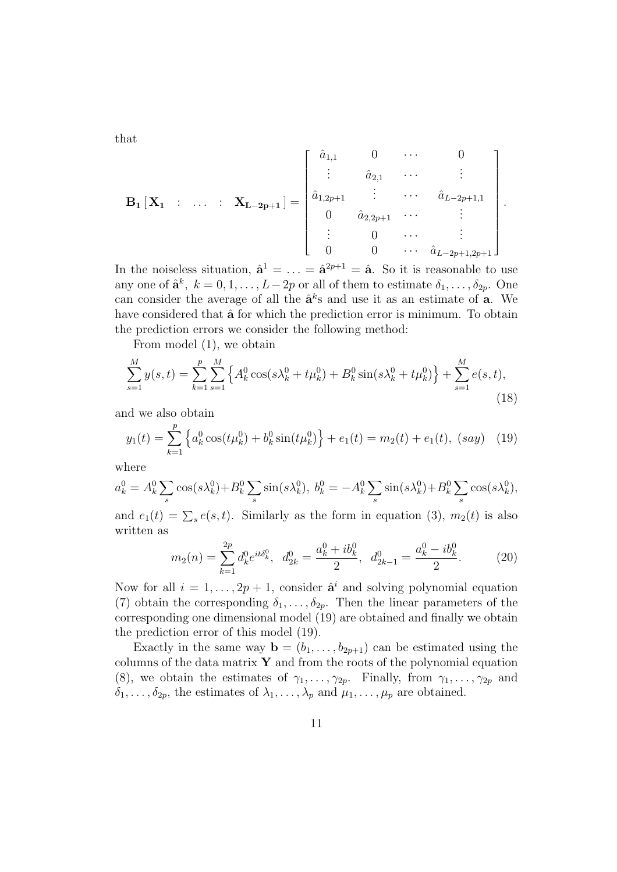that

$$
\mathbf{B_1} [\mathbf{X_1} : \dots : \mathbf{X_{L-2p+1}}] = \begin{bmatrix} \hat{a}_{1,1} & 0 & \cdots & 0 \\ \vdots & \hat{a}_{2,1} & \cdots & \vdots \\ \hat{a}_{1,2p+1} & \vdots & \cdots & \hat{a}_{L-2p+1,1} \\ 0 & \hat{a}_{2,2p+1} & \cdots & \vdots \\ \vdots & 0 & \cdots & \vdots \\ 0 & 0 & \cdots & \hat{a}_{L-2p+1,2p+1} \end{bmatrix}.
$$

In the noiseless situation,  $\hat{\mathbf{a}}^1 = \ldots = \hat{\mathbf{a}}^{2p+1} = \hat{\mathbf{a}}$ . So it is reasonable to use any one of  $\hat{\mathbf{a}}^k$ ,  $k = 0, 1, \ldots, L-2p$  or all of them to estimate  $\delta_1, \ldots, \delta_{2p}$ . One can consider the average of all the  $\hat{\mathbf{a}}^k$ s and use it as an estimate of **a**. We have considered that  $\hat{a}$  for which the prediction error is minimum. To obtain the prediction errors we consider the following method:

From model (1), we obtain

$$
\sum_{s=1}^{M} y(s,t) = \sum_{k=1}^{p} \sum_{s=1}^{M} \left\{ A_k^0 \cos(s\lambda_k^0 + t\mu_k^0) + B_k^0 \sin(s\lambda_k^0 + t\mu_k^0) \right\} + \sum_{s=1}^{M} e(s,t),\tag{18}
$$

and we also obtain

$$
y_1(t) = \sum_{k=1}^p \left\{ a_k^0 \cos(t\mu_k^0) + b_k^0 \sin(t\mu_k^0) \right\} + e_1(t) = m_2(t) + e_1(t), \ (say) \quad (19)
$$

where

$$
a_k^0 = A_k^0 \sum_s \cos(s\lambda_k^0) + B_k^0 \sum_s \sin(s\lambda_k^0), \ b_k^0 = -A_k^0 \sum_s \sin(s\lambda_k^0) + B_k^0 \sum_s \cos(s\lambda_k^0),
$$

and  $e_1(t) = \sum_s e(s, t)$ . Similarly as the form in equation (3),  $m_2(t)$  is also written as

$$
m_2(n) = \sum_{k=1}^{2p} d_k^0 e^{it\delta_k^0}, \quad d_{2k}^0 = \frac{a_k^0 + ib_k^0}{2}, \quad d_{2k-1}^0 = \frac{a_k^0 - ib_k^0}{2}.
$$
 (20)

Now for all  $i = 1, ..., 2p + 1$ , consider  $\hat{\mathbf{a}}^i$  and solving polynomial equation (7) obtain the corresponding  $\delta_1, \ldots, \delta_{2p}$ . Then the linear parameters of the corresponding one dimensional model (19) are obtained and finally we obtain the prediction error of this model (19).

Exactly in the same way  $\mathbf{b} = (b_1, \ldots, b_{2p+1})$  can be estimated using the columns of the data matrix  $\mathbf Y$  and from the roots of the polynomial equation (8), we obtain the estimates of  $\gamma_1, \ldots, \gamma_{2p}$ . Finally, from  $\gamma_1, \ldots, \gamma_{2p}$  and  $\delta_1, \ldots, \delta_{2p}$ , the estimates of  $\lambda_1, \ldots, \lambda_p$  and  $\mu_1, \ldots, \mu_p$  are obtained.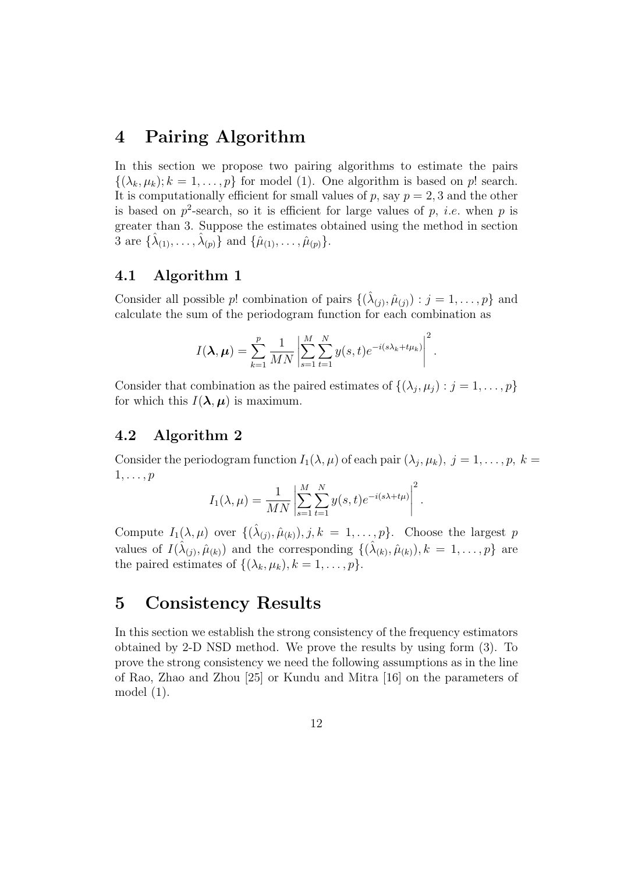### 4 Pairing Algorithm

In this section we propose two pairing algorithms to estimate the pairs  $\{(\lambda_k, \mu_k); k = 1, \ldots, p\}$  for model (1). One algorithm is based on p! search. It is computationally efficient for small values of  $p$ , say  $p = 2, 3$  and the other is based on  $p^2$ -search, so it is efficient for large values of p, *i.e.* when p is greater than 3. Suppose the estimates obtained using the method in section 3 are  $\{\hat{\lambda}_{(1)}, \ldots, \hat{\lambda}_{(p)}\}$  and  $\{\hat{\mu}_{(1)}, \ldots, \hat{\mu}_{(p)}\}.$ 

#### 4.1 Algorithm 1

Consider all possible p! combination of pairs  $\{(\hat{\lambda}_{(j)}, \hat{\mu}_{(j)}): j = 1, \ldots, p\}$  and calculate the sum of the periodogram function for each combination as

$$
I(\boldsymbol{\lambda}, \boldsymbol{\mu}) = \sum_{k=1}^p \frac{1}{MN} \left| \sum_{s=1}^M \sum_{t=1}^N y(s,t) e^{-i(s\lambda_k + t\mu_k)} \right|^2.
$$

Consider that combination as the paired estimates of  $\{(\lambda_j, \mu_j) : j = 1, \ldots, p\}$ for which this  $I(\lambda, \mu)$  is maximum.

#### 4.2 Algorithm 2

Consider the periodogram function  $I_1(\lambda,\mu)$  of each pair  $(\lambda_j,\mu_k)$ ,  $j=1,\ldots,p$ ,  $k=$  $1, \ldots, p$ 

$$
I_1(\lambda, \mu) = \frac{1}{MN} \left| \sum_{s=1}^{M} \sum_{t=1}^{N} y(s, t) e^{-i(s\lambda + t\mu)} \right|^2.
$$

Compute  $I_1(\lambda, \mu)$  over  $\{(\hat{\lambda}_{(j)}, \hat{\mu}_{(k)}), j, k = 1, \ldots, p\}$ . Choose the largest p values of  $I(\hat{\lambda}_{(j)}, \hat{\mu}_{(k)})$  and the corresponding  $\{(\hat{\lambda}_{(k)}, \hat{\mu}_{(k)}), k = 1, \ldots, p\}$  are the paired estimates of  $\{(\lambda_k, \mu_k), k = 1, \ldots, p\}.$ 

# 5 Consistency Results

In this section we establish the strong consistency of the frequency estimators obtained by 2-D NSD method. We prove the results by using form (3). To prove the strong consistency we need the following assumptions as in the line of Rao, Zhao and Zhou [25] or Kundu and Mitra [16] on the parameters of model (1).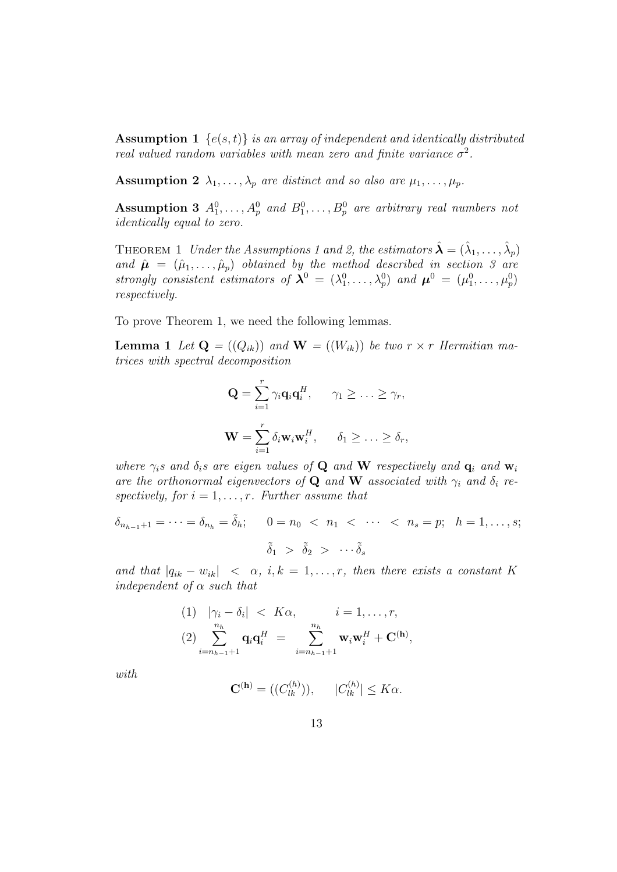**Assumption 1**  $\{e(s,t)\}\$ is an array of independent and identically distributed real valued random variables with mean zero and finite variance  $\sigma^2$ .

**Assumption 2**  $\lambda_1, \ldots, \lambda_p$  are distinct and so also are  $\mu_1, \ldots, \mu_p$ .

Assumption 3  $A_1^0, \ldots, A_p^0$  and  $B_1^0, \ldots, B_p^0$  are arbitrary real numbers not identically equal to zero.

THEOREM 1 Under the Assumptions 1 and 2, the estimators  $\hat{\boldsymbol{\lambda}} = (\hat{\lambda}_1, \dots, \hat{\lambda}_p)$ and  $\hat{\boldsymbol{\mu}} = (\hat{\mu}_1, \dots, \hat{\mu}_p)$  obtained by the method described in section 3 are strongly consistent estimators of  $\lambda^0 = (\lambda_1^0, \dots, \lambda_p^0)$  and  $\mu^0 = (\mu_1^0, \dots, \mu_p^0)$ respectively.

To prove Theorem 1, we need the following lemmas.

**Lemma 1** Let  $\mathbf{Q} = ((Q_{ik}))$  and  $\mathbf{W} = ((W_{ik}))$  be two  $r \times r$  Hermitian matrices with spectral decomposition

$$
\mathbf{Q} = \sum_{i=1}^{r} \gamma_i \mathbf{q}_i \mathbf{q}_i^H, \quad \gamma_1 \geq \ldots \geq \gamma_r,
$$

$$
\mathbf{W} = \sum_{i=1}^{r} \delta_i \mathbf{w}_i \mathbf{w}_i^H, \quad \delta_1 \geq \ldots \geq \delta_r,
$$

where  $\gamma_i$ s and  $\delta_i$ s are eigen values of **Q** and **W** respectively and **q**<sub>i</sub> and **w**<sub>i</sub> are the orthonormal eigenvectors of **Q** and **W** associated with  $\gamma_i$  and  $\delta_i$  respectively, for  $i = 1, \ldots, r$ . Further assume that

$$
\delta_{n_{h-1}+1} = \dots = \delta_{n_h} = \tilde{\delta}_h; \qquad 0 = n_0 < n_1 < \dots < n_s = p; \quad h = 1, \dots, s;
$$
\n
$$
\tilde{\delta}_1 > \tilde{\delta}_2 > \dots < \tilde{\delta}_s
$$

and that  $|q_{ik} - w_{ik}| < \alpha$ , i,  $k = 1, ..., r$ , then there exists a constant K independent of  $\alpha$  such that

(1) 
$$
|\gamma_i - \delta_i| < K\alpha, \qquad i = 1, \dots, r,
$$
  
\n(2) 
$$
\sum_{i=n_{h-1}+1}^{n_h} \mathbf{q}_i \mathbf{q}_i^H = \sum_{i=n_{h-1}+1}^{n_h} \mathbf{w}_i \mathbf{w}_i^H + \mathbf{C}^{(\mathbf{h})},
$$

with

$$
\mathbf{C}^{(\mathbf{h})} = ((C_{lk}^{(h)})), \qquad |C_{lk}^{(h)}| \leq K\alpha.
$$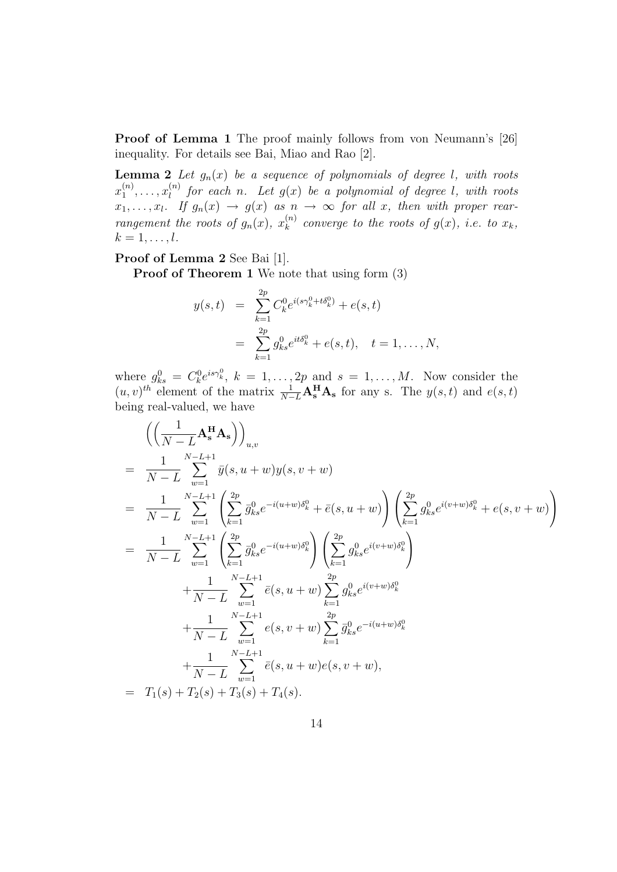Proof of Lemma 1 The proof mainly follows from von Neumann's [26] inequality. For details see Bai, Miao and Rao [2].

**Lemma 2** Let  $g_n(x)$  be a sequence of polynomials of degree l, with roots  $x_1^{(n)}$  $\binom{n}{1}, \ldots, x_l^{(n)}$  $\mathcal{L}_l^{(n)}$  for each n. Let  $g(x)$  be a polynomial of degree l, with roots  $x_1, \ldots, x_l$ . If  $g_n(x) \to g(x)$  as  $n \to \infty$  for all x, then with proper rearrangement the roots of  $g_n(x)$ ,  $x_k^{(n)}$  $k^{(n)}$  converge to the roots of  $g(x)$ , i.e. to  $x_k$ ,  $k=1,\ldots,l.$ 

Proof of Lemma 2 See Bai [1].

Proof of Theorem 1 We note that using form (3)

$$
y(s,t) = \sum_{k=1}^{2p} C_k^0 e^{i(s\gamma_k^0 + t\delta_k^0)} + e(s,t)
$$
  
= 
$$
\sum_{k=1}^{2p} g_{ks}^0 e^{it\delta_k^0} + e(s,t), \quad t = 1, ..., N,
$$

where  $g_{ks}^0 = C_k^0 e^{is\gamma_k^0}$ ,  $k = 1, ..., 2p$  and  $s = 1, ..., M$ . Now consider the  $(u, v)^{th}$  element of the matrix  $\frac{1}{N-L}A_s^H A_s$  for any s. The  $y(s, t)$  and  $e(s, t)$ being real-valued, we have

$$
\begin{split}\n&\left(\left(\frac{1}{N-L}\mathbf{A}_{s}^{\mathbf{H}}\mathbf{A}_{s}\right)\right)_{u,v} \\
&= \frac{1}{N-L}\sum_{w=1}^{N-L+1}\bar{y}(s, u+w)y(s, v+w) \\
&= \frac{1}{N-L}\sum_{w=1}^{N-L+1}\left(\sum_{k=1}^{2p}\bar{g}_{ks}^{0}e^{-i(u+w)\delta_{k}^{0}} + \bar{e}(s, u+w)\right)\left(\sum_{k=1}^{2p}g_{ks}^{0}e^{i(v+w)\delta_{k}^{0}} + e(s, v+w)\right) \\
&= \frac{1}{N-L}\sum_{w=1}^{N-L+1}\left(\sum_{k=1}^{2p}\bar{g}_{ks}^{0}e^{-i(u+w)\delta_{k}^{0}}\right)\left(\sum_{k=1}^{2p}g_{ks}^{0}e^{i(v+w)\delta_{k}^{0}}\right) \\
&+ \frac{1}{N-L}\sum_{w=1}^{N-L+1}\bar{e}(s, u+w)\sum_{k=1}^{2p}g_{ks}^{0}e^{i(v+w)\delta_{k}^{0}} \\
&+ \frac{1}{N-L}\sum_{w=1}^{N-L+1}e(s, v+w)\sum_{k=1}^{2p}\bar{g}_{ks}^{0}e^{-i(u+w)\delta_{k}^{0}} \\
&+ \frac{1}{N-L}\sum_{w=1}^{N-L+1}\bar{e}(s, u+w)e(s, v+w), \\
&= T_{1}(s) + T_{2}(s) + T_{3}(s) + T_{4}(s).\n\end{split}
$$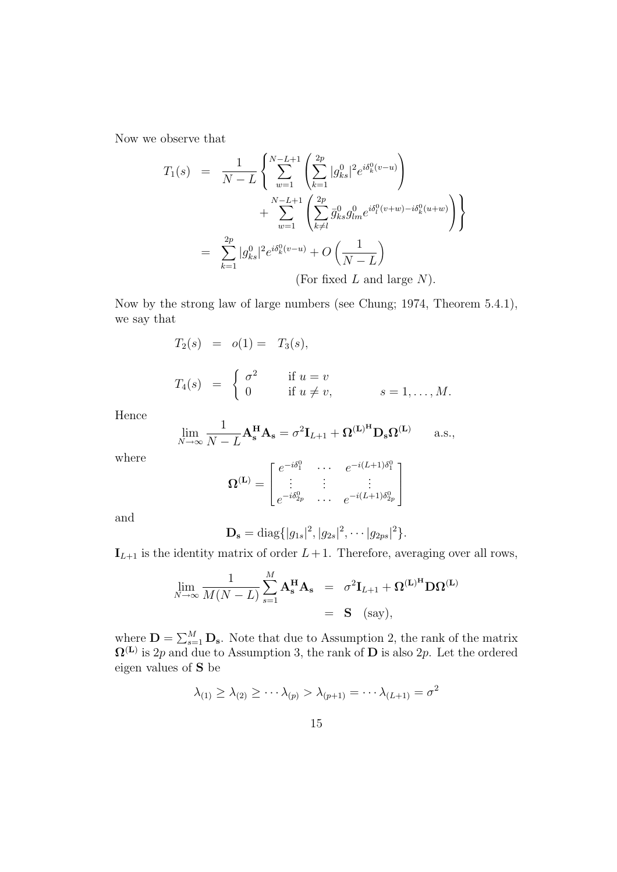Now we observe that

$$
T_1(s) = \frac{1}{N-L} \left\{ \sum_{w=1}^{N-L+1} \left( \sum_{k=1}^{2p} |g_{ks}^0|^2 e^{i\delta_k^0(v-u)} \right) + \sum_{w=1}^{N-L+1} \left( \sum_{k\neq l}^{2p} \bar{g}_{ks}^0 g_{lm}^0 e^{i\delta_l^0(v+w) - i\delta_k^0(u+w)} \right) \right\}
$$
  
= 
$$
\sum_{k=1}^{2p} |g_{ks}^0|^2 e^{i\delta_k^0(v-u)} + O\left(\frac{1}{N-L}\right)
$$
  
(For fixed *L* and large *N*).

Now by the strong law of large numbers (see Chung; 1974, Theorem 5.4.1), we say that

$$
T_2(s) = o(1) = T_3(s),
$$

$$
T_4(s) = \begin{cases} \sigma^2 & \text{if } u = v \\ 0 & \text{if } u \neq v, \end{cases} \qquad s = 1, \dots, M.
$$

Hence

$$
\lim_{N \to \infty} \frac{1}{N - L} \mathbf{A}_{\mathbf{s}}^{\mathbf{H}} \mathbf{A}_{\mathbf{s}} = \sigma^2 \mathbf{I}_{L+1} + \mathbf{\Omega}^{(\mathbf{L})^{\mathbf{H}}} \mathbf{D}_{\mathbf{s}} \mathbf{\Omega}^{(\mathbf{L})} \quad \text{a.s.},
$$

where

$$
\mathbf{\Omega}^{(\mathbf{L})} = \begin{bmatrix} e^{-i\delta_1^0} & \cdots & e^{-i(L+1)\delta_1^0} \\ \vdots & \vdots & \vdots \\ e^{-i\delta_{2p}^0} & \cdots & e^{-i(L+1)\delta_{2p}^0} \end{bmatrix}
$$

and

$$
\mathbf{D_s} = \text{diag}\{|g_{1s}|^2, |g_{2s}|^2, \cdots |g_{2ps}|^2\}.
$$

 $\mathbf{I}_{L+1}$  is the identity matrix of order  $L+1$ . Therefore, averaging over all rows,

$$
\lim_{N \to \infty} \frac{1}{M(N-L)} \sum_{s=1}^{M} \mathbf{A}_s^{\mathbf{H}} \mathbf{A}_s = \sigma^2 \mathbf{I}_{L+1} + \mathbf{\Omega}^{(\mathbf{L})^{\mathbf{H}}} \mathbf{D} \mathbf{\Omega}^{(\mathbf{L})}
$$
  
= **S** (say),

where  $\mathbf{D} = \sum_{s=1}^{M} \mathbf{D}_s$ . Note that due to Assumption 2, the rank of the matrix  $\Omega^{(L)}$  is 2p and due to Assumption 3, the rank of D is also 2p. Let the ordered eigen values of S be

$$
\lambda_{(1)} \geq \lambda_{(2)} \geq \cdots \lambda_{(p)} > \lambda_{(p+1)} = \cdots \lambda_{(L+1)} = \sigma^2
$$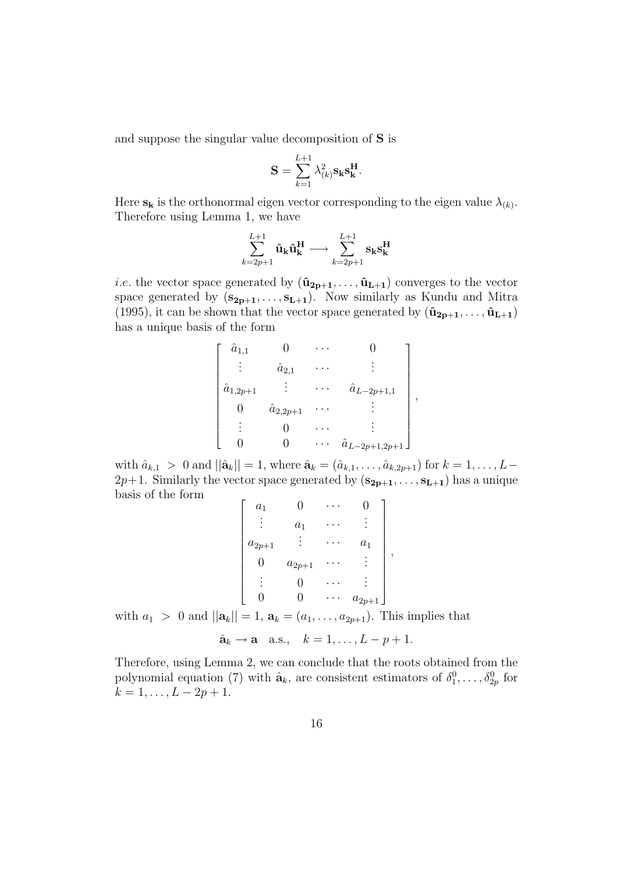and suppose the singular value decomposition of S is

$$
\mathbf{S} = \sum_{k=1}^{L+1} \lambda_{(k)}^2 \mathbf{s_k} \mathbf{s_k^H}.
$$

Here  $\mathbf{s_k}$  is the orthonormal eigen vector corresponding to the eigen value  $\lambda_{(k)}$ . Therefore using Lemma 1, we have

$$
\sum_{k=2p+1}^{L+1}\hat{\mathbf{u}}_{\mathbf{k}}\hat{\mathbf{u}}_{\mathbf{k}}^{\mathbf{H}}\longrightarrow\sum_{k=2p+1}^{L+1}\mathbf{s}_{\mathbf{k}}\mathbf{s}_{\mathbf{k}}^{\mathbf{H}}
$$

*i.e.* the vector space generated by  $(\hat{\mathbf{u}}_{2p+1}, \ldots, \hat{\mathbf{u}}_{L+1})$  converges to the vector space generated by  $(s_{2p+1},...,s_{L+1})$ . Now similarly as Kundu and Mitra (1995), it can be shown that the vector space generated by  $(\hat{\mathbf{u}}_{2p+1}, \ldots, \hat{\mathbf{u}}_{L+1})$ has a unique basis of the form

$$
\begin{bmatrix}\n\hat{a}_{1,1} & 0 & \cdots & 0 \\
\vdots & \hat{a}_{2,1} & \cdots & \vdots \\
\hat{a}_{1,2p+1} & \vdots & \cdots & \hat{a}_{L-2p+1,1} \\
0 & \hat{a}_{2,2p+1} & \cdots & \vdots \\
\vdots & 0 & \cdots & \vdots \\
0 & 0 & \cdots & \hat{a}_{L-2p+1,2p+1}\n\end{bmatrix}
$$

,

with  $\hat{a}_{k,1} > 0$  and  $||\hat{a}_k|| = 1$ , where  $\hat{a}_k = (\hat{a}_{k,1}, \dots, \hat{a}_{k,2p+1})$  for  $k = 1, \dots, L-1$  $2p+1$ . Similarly the vector space generated by  $(\mathbf{s}_{2p+1}, \ldots, \mathbf{s}_{L+1})$  has a unique basis of the form

$$
\begin{bmatrix} a_1 & 0 & \cdots & 0 \\ \vdots & a_1 & \cdots & \vdots \\ a_{2p+1} & \vdots & \cdots & a_1 \\ 0 & a_{2p+1} & \cdots & \vdots \\ \vdots & 0 & \cdots & \vdots \\ 0 & 0 & \cdots & a_{2p+1} \end{bmatrix},
$$

with  $a_1 > 0$  and  $||a_k|| = 1$ ,  $a_k = (a_1, \ldots, a_{2p+1})$ . This implies that

 $\hat{\mathbf{a}}_k \rightarrow \mathbf{a}$  a.s.,  $k = 1, \ldots, L - p + 1$ .

Therefore, using Lemma 2, we can conclude that the roots obtained from the polynomial equation (7) with  $\hat{\mathbf{a}}_k$ , are consistent estimators of  $\delta_1^0, \ldots, \delta_{2p}^0$  for  $k = 1, \ldots, L - 2p + 1.$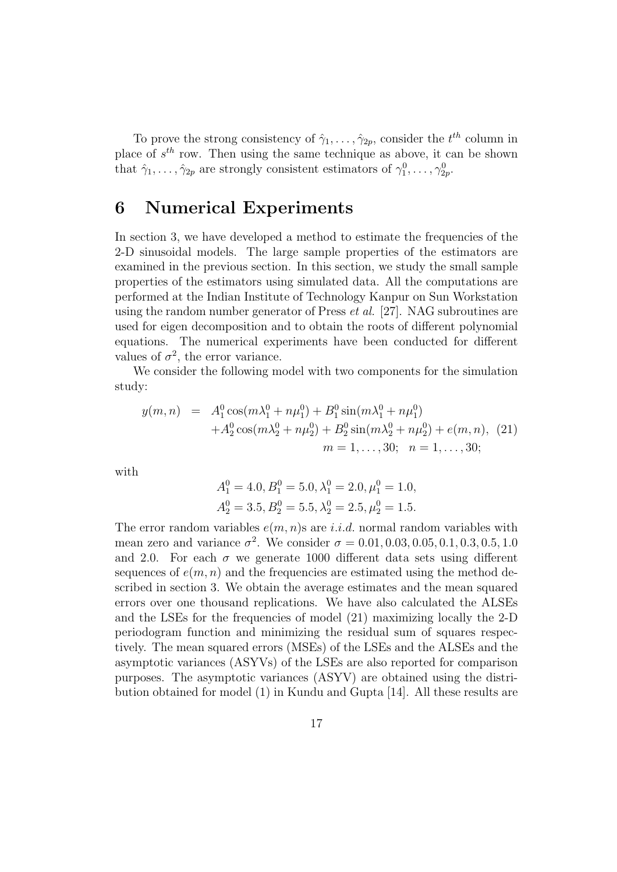To prove the strong consistency of  $\hat{\gamma}_1, \ldots, \hat{\gamma}_{2p}$ , consider the  $t^{th}$  column in place of  $s^{th}$  row. Then using the same technique as above, it can be shown that  $\hat{\gamma}_1, \ldots, \hat{\gamma}_{2p}$  are strongly consistent estimators of  $\gamma_1^0, \ldots, \gamma_{2p}^0$ .

# 6 Numerical Experiments

In section 3, we have developed a method to estimate the frequencies of the 2-D sinusoidal models. The large sample properties of the estimators are examined in the previous section. In this section, we study the small sample properties of the estimators using simulated data. All the computations are performed at the Indian Institute of Technology Kanpur on Sun Workstation using the random number generator of Press  $et al.$  [27]. NAG subroutines are used for eigen decomposition and to obtain the roots of different polynomial equations. The numerical experiments have been conducted for different values of  $\sigma^2$ , the error variance.

We consider the following model with two components for the simulation study:

$$
y(m,n) = A_1^0 \cos(m\lambda_1^0 + n\mu_1^0) + B_1^0 \sin(m\lambda_1^0 + n\mu_1^0) + A_2^0 \cos(m\lambda_2^0 + n\mu_2^0) + B_2^0 \sin(m\lambda_2^0 + n\mu_2^0) + e(m,n),
$$
 (21)  

$$
m = 1, ..., 30; \quad n = 1, ..., 30;
$$

with

$$
A_1^0 = 4.0, B_1^0 = 5.0, \lambda_1^0 = 2.0, \mu_1^0 = 1.0,
$$
  

$$
A_2^0 = 3.5, B_2^0 = 5.5, \lambda_2^0 = 2.5, \mu_2^0 = 1.5.
$$

The error random variables  $e(m, n)$ s are *i.i.d.* normal random variables with mean zero and variance  $\sigma^2$ . We consider  $\sigma = 0.01, 0.03, 0.05, 0.1, 0.3, 0.5, 1.0$ and 2.0. For each  $\sigma$  we generate 1000 different data sets using different sequences of  $e(m, n)$  and the frequencies are estimated using the method described in section 3. We obtain the average estimates and the mean squared errors over one thousand replications. We have also calculated the ALSEs and the LSEs for the frequencies of model (21) maximizing locally the 2-D periodogram function and minimizing the residual sum of squares respectively. The mean squared errors (MSEs) of the LSEs and the ALSEs and the asymptotic variances (ASYVs) of the LSEs are also reported for comparison purposes. The asymptotic variances (ASYV) are obtained using the distribution obtained for model (1) in Kundu and Gupta [14]. All these results are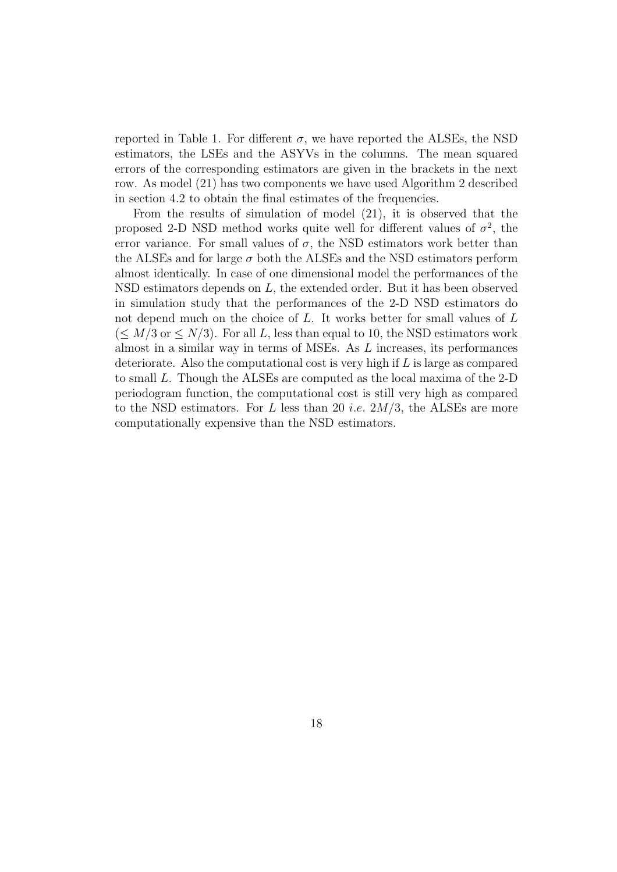reported in Table 1. For different  $\sigma$ , we have reported the ALSEs, the NSD estimators, the LSEs and the ASYVs in the columns. The mean squared errors of the corresponding estimators are given in the brackets in the next row. As model (21) has two components we have used Algorithm 2 described in section 4.2 to obtain the final estimates of the frequencies.

From the results of simulation of model (21), it is observed that the proposed 2-D NSD method works quite well for different values of  $\sigma^2$ , the error variance. For small values of  $\sigma$ , the NSD estimators work better than the ALSEs and for large  $\sigma$  both the ALSEs and the NSD estimators perform almost identically. In case of one dimensional model the performances of the NSD estimators depends on L, the extended order. But it has been observed in simulation study that the performances of the 2-D NSD estimators do not depend much on the choice of L. It works better for small values of L  $(\leq M/3 \text{ or } \leq N/3)$ . For all L, less than equal to 10, the NSD estimators work almost in a similar way in terms of MSEs. As L increases, its performances deteriorate. Also the computational cost is very high if  $L$  is large as compared to small L. Though the ALSEs are computed as the local maxima of the 2-D periodogram function, the computational cost is still very high as compared to the NSD estimators. For L less than 20 *i.e.*  $2M/3$ , the ALSEs are more computationally expensive than the NSD estimators.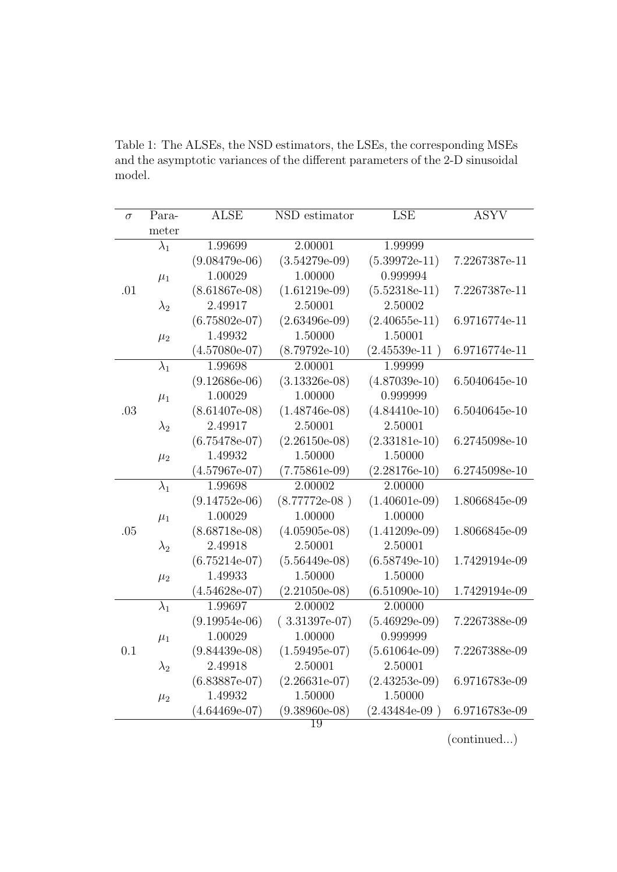| $\sigma$ | Para-       | <b>ALSE</b>     | NSD estimator   | <b>LSE</b>      | <b>ASYV</b>   |
|----------|-------------|-----------------|-----------------|-----------------|---------------|
|          | meter       |                 |                 |                 |               |
|          | $\lambda_1$ | 1.99699         | 2.00001         | 1.99999         |               |
|          |             | $(9.08479e-06)$ | $(3.54279e-09)$ | $(5.39972e-11)$ | 7.2267387e-11 |
|          | $\mu_1$     | 1.00029         | 1.00000         | 0.999994        |               |
| .01      |             | $(8.61867e-08)$ | $(1.61219e-09)$ | $(5.52318e-11)$ | 7.2267387e-11 |
|          | $\lambda_2$ | 2.49917         | 2.50001         | 2.50002         |               |
|          |             | $(6.75802e-07)$ | $(2.63496e-09)$ | $(2.40655e-11)$ | 6.9716774e-11 |
|          | $\mu_2$     | 1.49932         | 1.50000         | 1.50001         |               |
|          |             | $(4.57080e-07)$ | $(8.79792e-10)$ | $(2.45539e-11)$ | 6.9716774e-11 |
|          | $\lambda_1$ | 1.99698         | 2.00001         | 1.99999         |               |
|          |             | $(9.12686e-06)$ | $(3.13326e-08)$ | $(4.87039e-10)$ | 6.5040645e-10 |
|          | $\mu_1$     | 1.00029         | 1.00000         | 0.999999        |               |
| .03      |             | $(8.61407e-08)$ | $(1.48746e-08)$ | $(4.84410e-10)$ | 6.5040645e-10 |
|          | $\lambda_2$ | 2.49917         | 2.50001         | 2.50001         |               |
|          |             | $(6.75478e-07)$ | $(2.26150e-08)$ | $(2.33181e-10)$ | 6.2745098e-10 |
|          | $\mu_2$     | 1.49932         | 1.50000         | 1.50000         |               |
|          |             | $(4.57967e-07)$ | $(7.75861e-09)$ | $(2.28176e-10)$ | 6.2745098e-10 |
|          | $\lambda_1$ | 1.99698         | 2.00002         | 2.00000         |               |
|          |             | $(9.14752e-06)$ | $(8.77772e-08)$ | $(1.40601e-09)$ | 1.8066845e-09 |
|          | $\mu_1$     | 1.00029         | 1.00000         | 1.00000         |               |
| .05      |             | $(8.68718e-08)$ | $(4.05905e-08)$ | $(1.41209e-09)$ | 1.8066845e-09 |
|          | $\lambda_2$ | 2.49918         | 2.50001         | 2.50001         |               |
|          |             | $(6.75214e-07)$ | $(5.56449e-08)$ | $(6.58749e-10)$ | 1.7429194e-09 |
|          | $\mu_2$     | 1.49933         | 1.50000         | 1.50000         |               |
|          |             | $(4.54628e-07)$ | $(2.21050e-08)$ | $(6.51090e-10)$ | 1.7429194e-09 |
|          | $\lambda_1$ | 1.99697         | 2.00002         | 2.00000         |               |
|          |             | $(9.19954e-06)$ | $(3.31397e-07)$ | $(5.46929e-09)$ | 7.2267388e-09 |
|          | $\mu_1$     | 1.00029         | 1.00000         | 0.999999        |               |
| 0.1      |             | $(9.84439e-08)$ | $(1.59495e-07)$ | $(5.61064e-09)$ | 7.2267388e-09 |
|          | $\lambda_2$ | 2.49918         | 2.50001         | 2.50001         |               |
|          |             | $(6.83887e-07)$ | $(2.26631e-07)$ | $(2.43253e-09)$ | 6.9716783e-09 |
|          | $\mu_2$     | 1.49932         | 1.50000         | 1.50000         |               |
|          |             | $(4.64469e-07)$ | $(9.38960e-08)$ | $(2.43484e-09)$ | 6.9716783e-09 |
|          |             |                 | 19              |                 |               |

Table 1: The ALSEs, the NSD estimators, the LSEs, the corresponding MSEs and the asymptotic variances of the different parameters of the 2-D sinusoidal model.

(continued...)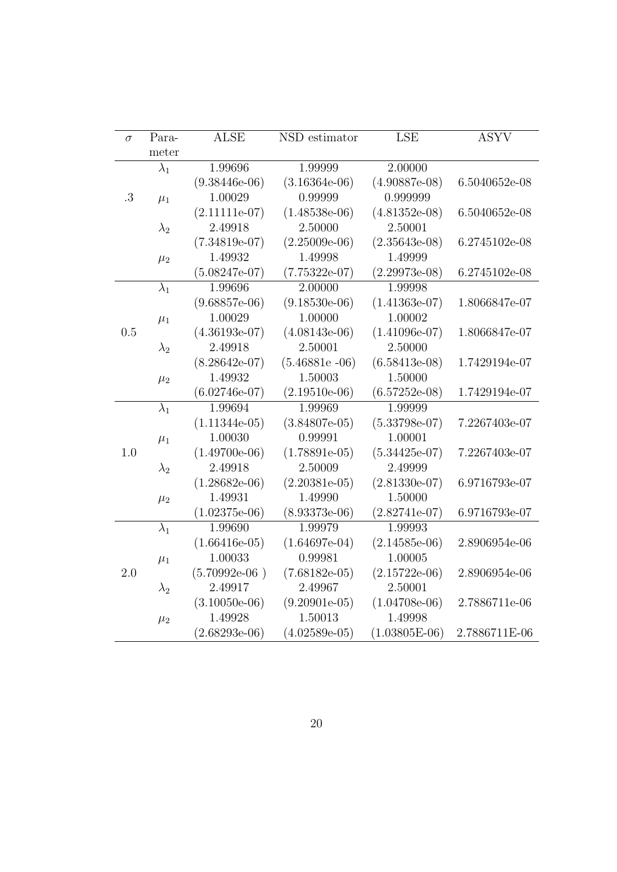| $\sigma$ | Para-       | <b>ALSE</b>     | NSD estimator    | LSE             | <b>ASYV</b>   |
|----------|-------------|-----------------|------------------|-----------------|---------------|
|          | meter       |                 |                  |                 |               |
|          | $\lambda_1$ | 1.99696         | 1.99999          | 2.00000         |               |
|          |             | $(9.38446e-06)$ | $(3.16364e-06)$  | $(4.90887e-08)$ | 6.5040652e-08 |
| .3       | $\mu_1$     | 1.00029         | 0.99999          | 0.999999        |               |
|          |             | $(2.11111e-07)$ | $(1.48538e-06)$  | $(4.81352e-08)$ | 6.5040652e-08 |
|          | $\lambda_2$ | 2.49918         | 2.50000          | 2.50001         |               |
|          |             | $(7.34819e-07)$ | $(2.25009e-06)$  | $(2.35643e-08)$ | 6.2745102e-08 |
|          | $\mu_2$     | 1.49932         | 1.49998          | 1.49999         |               |
|          |             | $(5.08247e-07)$ | $(7.75322e-07)$  | $(2.29973e-08)$ | 6.2745102e-08 |
| 0.5      | $\lambda_1$ | 1.99696         | 2.00000          | 1.99998         |               |
|          |             | $(9.68857e-06)$ | $(9.18530e-06)$  | $(1.41363e-07)$ | 1.8066847e-07 |
|          | $\mu_1$     | 1.00029         | 1.00000          | 1.00002         |               |
|          |             | $(4.36193e-07)$ | $(4.08143e-06)$  | $(1.41096e-07)$ | 1.8066847e-07 |
|          | $\lambda_2$ | 2.49918         | 2.50001          | 2.50000         |               |
|          |             | $(8.28642e-07)$ | $(5.46881e -06)$ | $(6.58413e-08)$ | 1.7429194e-07 |
|          | $\mu_2$     | 1.49932         | 1.50003          | 1.50000         |               |
|          |             | $(6.02746e-07)$ | $(2.19510e-06)$  | $(6.57252e-08)$ | 1.7429194e-07 |
| 1.0      | $\lambda_1$ | 1.99694         | 1.99969          | 1.99999         |               |
|          |             | $(1.11344e-05)$ | $(3.84807e-05)$  | $(5.33798e-07)$ | 7.2267403e-07 |
|          | $\mu_1$     | 1.00030         | 0.99991          | 1.00001         |               |
|          |             | $(1.49700e-06)$ | $(1.78891e-05)$  | $(5.34425e-07)$ | 7.2267403e-07 |
|          | $\lambda_2$ | 2.49918         | 2.50009          | 2.49999         |               |
|          |             | $(1.28682e-06)$ | $(2.20381e-05)$  | $(2.81330e-07)$ | 6.9716793e-07 |
|          | $\mu_2$     | 1.49931         | 1.49990          | 1.50000         |               |
|          |             | $(1.02375e-06)$ | $(8.93373e-06)$  | $(2.82741e-07)$ | 6.9716793e-07 |
|          | $\lambda_1$ | 1.99690         | 1.99979          | 1.99993         |               |
|          |             | $(1.66416e-05)$ | $(1.64697e-04)$  | $(2.14585e-06)$ | 2.8906954e-06 |
|          | $\mu_1$     | 1.00033         | 0.99981          | 1.00005         |               |
| 2.0      |             | $(5.70992e-06)$ | $(7.68182e-05)$  | $(2.15722e-06)$ | 2.8906954e-06 |
|          | $\lambda_2$ | 2.49917         | 2.49967          | 2.50001         |               |
|          |             | $(3.10050e-06)$ | $(9.20901e-05)$  | $(1.04708e-06)$ | 2.7886711e-06 |
|          | $\mu_2$     | 1.49928         | 1.50013          | 1.49998         |               |
|          |             | $(2.68293e-06)$ | $(4.02589e-05)$  | $(1.03805E-06)$ | 2.7886711E-06 |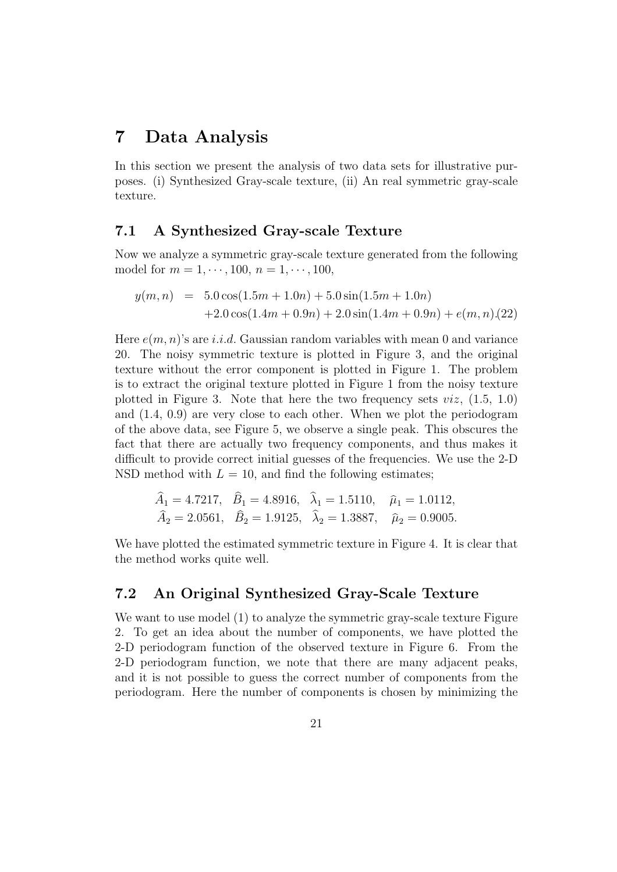## 7 Data Analysis

In this section we present the analysis of two data sets for illustrative purposes. (i) Synthesized Gray-scale texture, (ii) An real symmetric gray-scale texture.

#### 7.1 A Synthesized Gray-scale Texture

Now we analyze a symmetric gray-scale texture generated from the following model for  $m = 1, \dots, 100, n = 1, \dots, 100$ ,

$$
y(m, n) = 5.0 \cos(1.5m + 1.0n) + 5.0 \sin(1.5m + 1.0n)
$$
  
+2.0 \cos(1.4m + 0.9n) + 2.0 \sin(1.4m + 0.9n) + e(m, n)(22)

Here  $e(m, n)$ 's are i.i.d. Gaussian random variables with mean 0 and variance 20. The noisy symmetric texture is plotted in Figure 3, and the original texture without the error component is plotted in Figure 1. The problem is to extract the original texture plotted in Figure 1 from the noisy texture plotted in Figure 3. Note that here the two frequency sets  $viz, (1.5, 1.0)$ and (1.4, 0.9) are very close to each other. When we plot the periodogram of the above data, see Figure 5, we observe a single peak. This obscures the fact that there are actually two frequency components, and thus makes it difficult to provide correct initial guesses of the frequencies. We use the 2-D NSD method with  $L = 10$ , and find the following estimates;

$$
\hat{A}_1 = 4.7217
$$
,  $\hat{B}_1 = 4.8916$ ,  $\lambda_1 = 1.5110$ ,  $\hat{\mu}_1 = 1.0112$ ,  
\n $\hat{A}_2 = 2.0561$ ,  $\hat{B}_2 = 1.9125$ ,  $\hat{\lambda}_2 = 1.3887$ ,  $\hat{\mu}_2 = 0.9005$ .

We have plotted the estimated symmetric texture in Figure 4. It is clear that the method works quite well.

#### 7.2 An Original Synthesized Gray-Scale Texture

We want to use model (1) to analyze the symmetric gray-scale texture Figure 2. To get an idea about the number of components, we have plotted the 2-D periodogram function of the observed texture in Figure 6. From the 2-D periodogram function, we note that there are many adjacent peaks, and it is not possible to guess the correct number of components from the periodogram. Here the number of components is chosen by minimizing the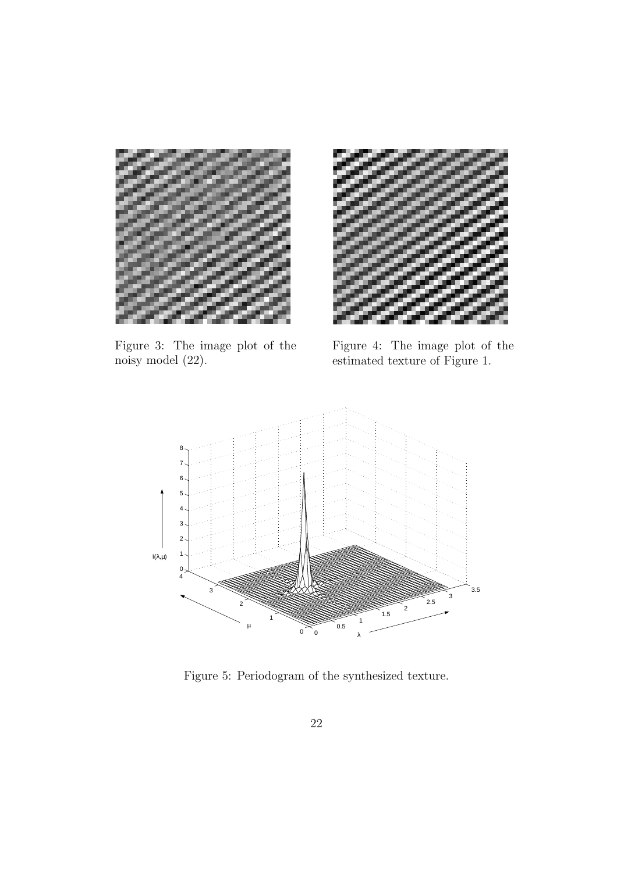

Figure 3: The image plot of the noisy model (22).



Figure 4: The image plot of the estimated texture of Figure 1.



Figure 5: Periodogram of the synthesized texture.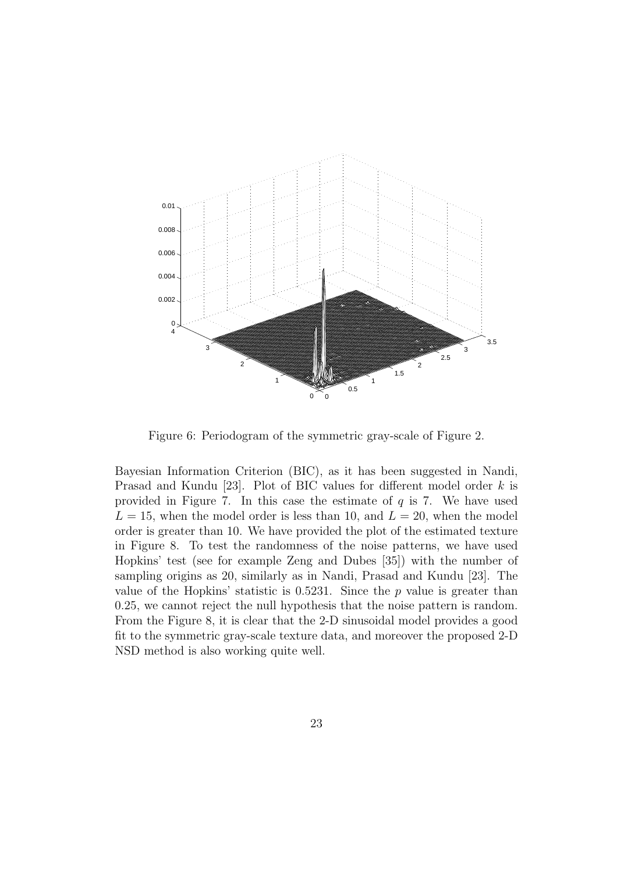

Figure 6: Periodogram of the symmetric gray-scale of Figure 2.

Bayesian Information Criterion (BIC), as it has been suggested in Nandi, Prasad and Kundu [23]. Plot of BIC values for different model order k is provided in Figure 7. In this case the estimate of  $q$  is 7. We have used  $L = 15$ , when the model order is less than 10, and  $L = 20$ , when the model order is greater than 10. We have provided the plot of the estimated texture in Figure 8. To test the randomness of the noise patterns, we have used Hopkins' test (see for example Zeng and Dubes [35]) with the number of sampling origins as 20, similarly as in Nandi, Prasad and Kundu [23]. The value of the Hopkins' statistic is  $0.5231$ . Since the p value is greater than 0.25, we cannot reject the null hypothesis that the noise pattern is random. From the Figure 8, it is clear that the 2-D sinusoidal model provides a good fit to the symmetric gray-scale texture data, and moreover the proposed 2-D NSD method is also working quite well.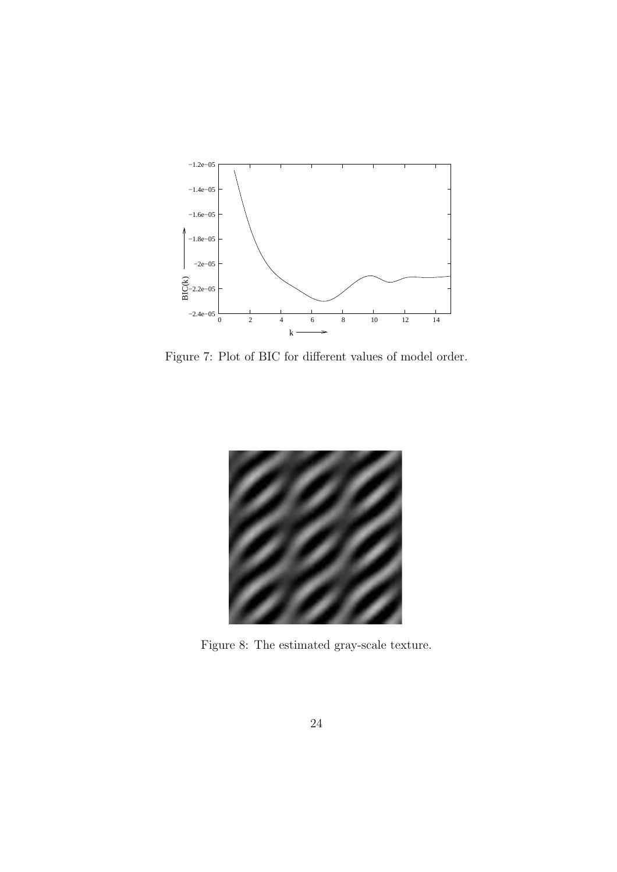

Figure 7: Plot of BIC for different values of model order.



Figure 8: The estimated gray-scale texture.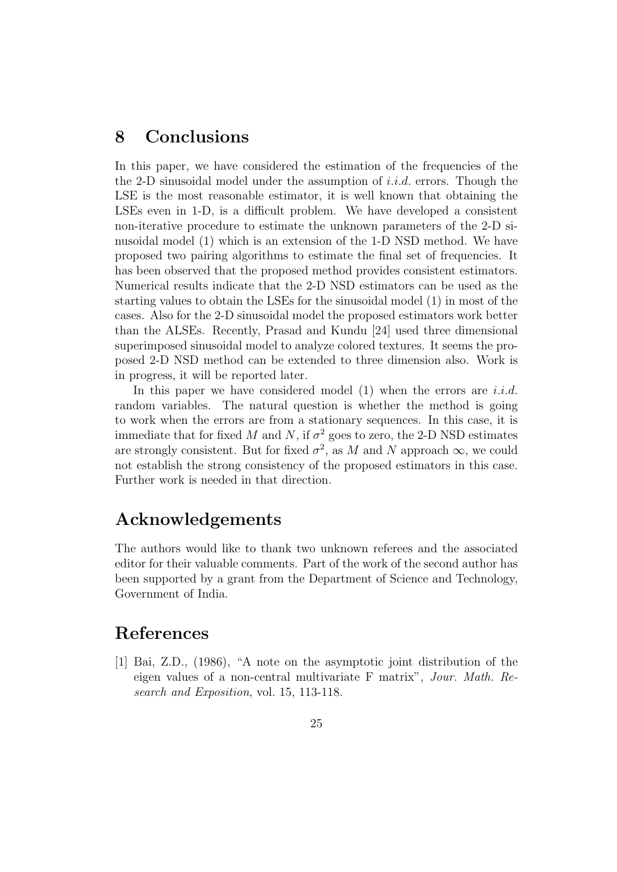# 8 Conclusions

In this paper, we have considered the estimation of the frequencies of the the 2-D sinusoidal model under the assumption of  $i.i.d.$  errors. Though the LSE is the most reasonable estimator, it is well known that obtaining the LSEs even in 1-D, is a difficult problem. We have developed a consistent non-iterative procedure to estimate the unknown parameters of the 2-D sinusoidal model (1) which is an extension of the 1-D NSD method. We have proposed two pairing algorithms to estimate the final set of frequencies. It has been observed that the proposed method provides consistent estimators. Numerical results indicate that the 2-D NSD estimators can be used as the starting values to obtain the LSEs for the sinusoidal model (1) in most of the cases. Also for the 2-D sinusoidal model the proposed estimators work better than the ALSEs. Recently, Prasad and Kundu [24] used three dimensional superimposed sinusoidal model to analyze colored textures. It seems the proposed 2-D NSD method can be extended to three dimension also. Work is in progress, it will be reported later.

In this paper we have considered model  $(1)$  when the errors are *i.i.d.* random variables. The natural question is whether the method is going to work when the errors are from a stationary sequences. In this case, it is immediate that for fixed M and N, if  $\sigma^2$  goes to zero, the 2-D NSD estimates are strongly consistent. But for fixed  $\sigma^2$ , as M and N approach  $\infty$ , we could not establish the strong consistency of the proposed estimators in this case. Further work is needed in that direction.

## Acknowledgements

The authors would like to thank two unknown referees and the associated editor for their valuable comments. Part of the work of the second author has been supported by a grant from the Department of Science and Technology, Government of India.

# References

[1] Bai, Z.D., (1986), "A note on the asymptotic joint distribution of the eigen values of a non-central multivariate F matrix", Jour. Math. Research and Exposition, vol. 15, 113-118.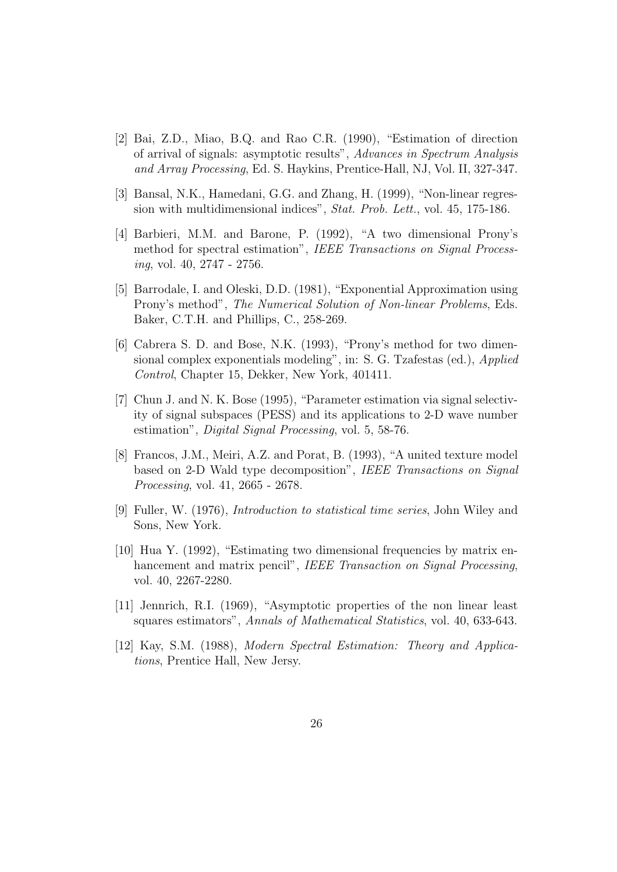- [2] Bai, Z.D., Miao, B.Q. and Rao C.R. (1990), "Estimation of direction of arrival of signals: asymptotic results", Advances in Spectrum Analysis and Array Processing, Ed. S. Haykins, Prentice-Hall, NJ, Vol. II, 327-347.
- [3] Bansal, N.K., Hamedani, G.G. and Zhang, H. (1999), "Non-linear regression with multidimensional indices", Stat. Prob. Lett., vol. 45, 175-186.
- [4] Barbieri, M.M. and Barone, P. (1992), "A two dimensional Prony's method for spectral estimation", IEEE Transactions on Signal Processing, vol. 40, 2747 - 2756.
- [5] Barrodale, I. and Oleski, D.D. (1981), "Exponential Approximation using Prony's method", The Numerical Solution of Non-linear Problems, Eds. Baker, C.T.H. and Phillips, C., 258-269.
- [6] Cabrera S. D. and Bose, N.K. (1993), "Prony's method for two dimensional complex exponentials modeling", in: S. G. Tzafestas (ed.), *Applied* Control, Chapter 15, Dekker, New York, 401411.
- [7] Chun J. and N. K. Bose (1995), "Parameter estimation via signal selectivity of signal subspaces (PESS) and its applications to 2-D wave number estimation", Digital Signal Processing, vol. 5, 58-76.
- [8] Francos, J.M., Meiri, A.Z. and Porat, B. (1993), "A united texture model based on 2-D Wald type decomposition", IEEE Transactions on Signal Processing, vol. 41, 2665 - 2678.
- [9] Fuller, W. (1976), Introduction to statistical time series, John Wiley and Sons, New York.
- [10] Hua Y. (1992), "Estimating two dimensional frequencies by matrix enhancement and matrix pencil", IEEE Transaction on Signal Processing, vol. 40, 2267-2280.
- [11] Jennrich, R.I. (1969), "Asymptotic properties of the non linear least squares estimators", Annals of Mathematical Statistics, vol. 40, 633-643.
- [12] Kay, S.M. (1988), Modern Spectral Estimation: Theory and Applications, Prentice Hall, New Jersy.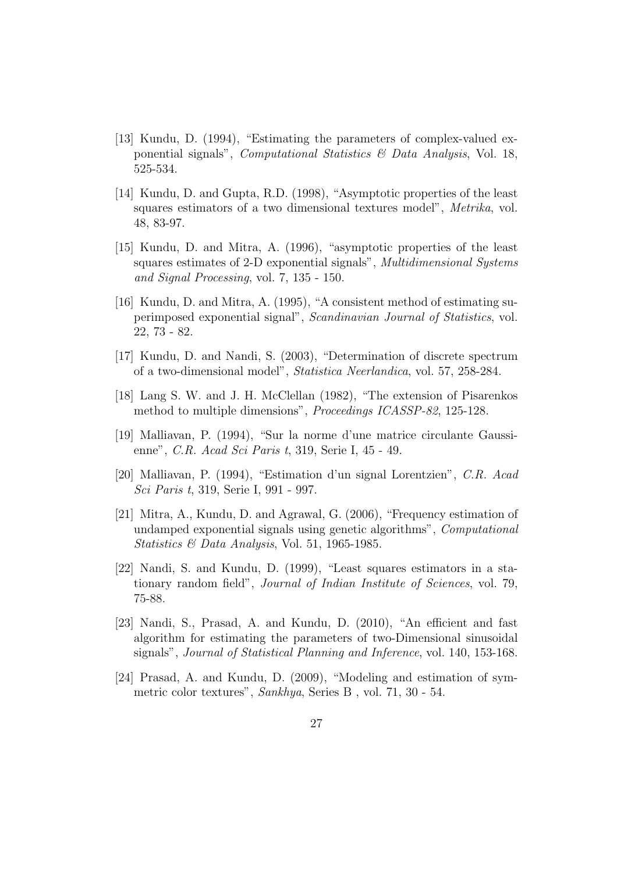- [13] Kundu, D. (1994), "Estimating the parameters of complex-valued exponential signals", *Computational Statistics*  $\mathcal{B}$  *Data Analysis*, Vol. 18, 525-534.
- [14] Kundu, D. and Gupta, R.D. (1998), "Asymptotic properties of the least squares estimators of a two dimensional textures model", Metrika, vol. 48, 83-97.
- [15] Kundu, D. and Mitra, A. (1996), "asymptotic properties of the least squares estimates of 2-D exponential signals", *Multidimensional Systems* and Signal Processing, vol. 7, 135 - 150.
- [16] Kundu, D. and Mitra, A. (1995), "A consistent method of estimating superimposed exponential signal", Scandinavian Journal of Statistics, vol. 22, 73 - 82.
- [17] Kundu, D. and Nandi, S. (2003), "Determination of discrete spectrum of a two-dimensional model", Statistica Neerlandica, vol. 57, 258-284.
- [18] Lang S. W. and J. H. McClellan (1982), "The extension of Pisarenkos method to multiple dimensions", Proceedings ICASSP-82, 125-128.
- [19] Malliavan, P. (1994), "Sur la norme d'une matrice circulante Gaussienne", C.R. Acad Sci Paris t, 319, Serie I, 45 - 49.
- [20] Malliavan, P. (1994), "Estimation d'un signal Lorentzien", C.R. Acad Sci Paris t, 319, Serie I, 991 - 997.
- [21] Mitra, A., Kundu, D. and Agrawal, G. (2006), "Frequency estimation of undamped exponential signals using genetic algorithms", Computational Statistics & Data Analysis, Vol. 51, 1965-1985.
- [22] Nandi, S. and Kundu, D. (1999), "Least squares estimators in a stationary random field", Journal of Indian Institute of Sciences, vol. 79, 75-88.
- [23] Nandi, S., Prasad, A. and Kundu, D. (2010), "An efficient and fast algorithm for estimating the parameters of two-Dimensional sinusoidal signals", Journal of Statistical Planning and Inference, vol. 140, 153-168.
- [24] Prasad, A. and Kundu, D. (2009), "Modeling and estimation of symmetric color textures", Sankhya, Series B , vol. 71, 30 - 54.